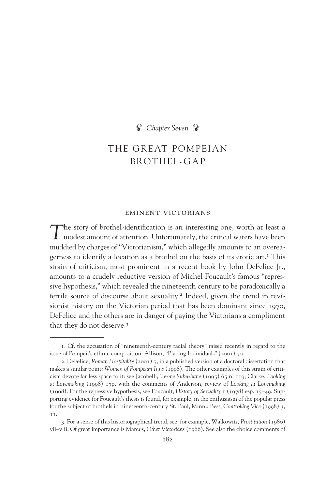# $\mathcal{C}$  Chapter Seven  $\mathcal{D}$

# THE GREAT POMPEIAN BROTHEL-GAP

## eminent victorians

The story of brothel-identification is an interesting one, worth at least a modest amount of attention. Unfortunately, the critical waters have been muddied by charges of "Victorianism," which allegedly amounts to an overeagerness to identify a location as a brothel on the basis of its erotic art.<sup>1</sup> This strain of criticism, most prominent in a recent book by John DeFelice Jr., amounts to a crudely reductive version of Michel Foucault's famous "repressive hypothesis," which revealed the nineteenth century to be paradoxically a fertile source of discourse about sexuality.<sup>2</sup> Indeed, given the trend in revisionist history on the Victorian period that has been dominant since 1970, DeFelice and the others are in danger of paying the Victorians a compliment that they do not deserve.3

<sup>1.</sup> Cf. the accusation of "nineteenth-century racial theory" raised recently in regard to the issue of Pompeii's ethnic composition: Allison, "Placing Individuals" (2001) 70.

<sup>2.</sup> DeFelice, *Roman Hospitality* (2001) 7, in a published version of a doctoral dissertation that makes a similar point: *Women of Pompeian Inns* (1998). The other examples of this strain of criticism devote far less space to it: see Jacobelli, *Terme Suburbane* (1995) 65 n. 119; Clarke, *Looking at Lovemaking* (1998) 179, with the comments of Anderson, review of *Looking at Lovemaking* (1998). For the repressive hypothesis, see Foucault, *History of Sexuality* 1 (1978) esp. 15–49. Supporting evidence for Foucault's thesis is found, for example, in the enthusiasm of the popular press for the subject of brothels in nineteenth-century St. Paul, Minn.: Best, *Controlling Vice* (1998) 3, 11.

<sup>3.</sup> For a sense of this historiographical trend, see, for example, Walkowitz, *Prostitution* (1980) vii–viii. Of great importance is Marcus, *Other Victorians* (1966). See also the choice comments of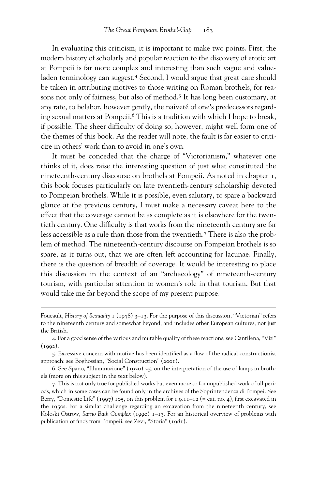In evaluating this criticism, it is important to make two points. First, the modern history of scholarly and popular reaction to the discovery of erotic art at Pompeii is far more complex and interesting than such vague and valueladen terminology can suggest.4 Second, I would argue that great care should be taken in attributing motives to those writing on Roman brothels, for reasons not only of fairness, but also of method.<sup>5</sup> It has long been customary, at any rate, to belabor, however gently, the naiveté of one's predecessors regarding sexual matters at Pompeii.6 This is a tradition with which I hope to break, if possible. The sheer difficulty of doing so, however, might well form one of the themes of this book. As the reader will note, the fault is far easier to criticize in others' work than to avoid in one's own.

It must be conceded that the charge of "Victorianism," whatever one thinks of it, does raise the interesting question of just what constituted the nineteenth-century discourse on brothels at Pompeii. As noted in chapter 1, this book focuses particularly on late twentieth-century scholarship devoted to Pompeian brothels. While it is possible, even salutary, to spare a backward glance at the previous century, I must make a necessary caveat here to the effect that the coverage cannot be as complete as it is elsewhere for the twentieth century. One difficulty is that works from the nineteenth century are far less accessible as a rule than those from the twentieth.7 There is also the problem of method. The nineteenth-century discourse on Pompeian brothels is so spare, as it turns out, that we are often left accounting for lacunae. Finally, there is the question of breadth of coverage. It would be interesting to place this discussion in the context of an "archaeology" of nineteenth-century tourism, with particular attention to women's role in that tourism. But that would take me far beyond the scope of my present purpose.

Foucault, *History of Sexuality* 1 (1978) 3–13. For the purpose of this discussion, "Victorian" refers to the nineteenth century and somewhat beyond, and includes other European cultures, not just the British.

<sup>4.</sup> For a good sense of the various and mutable quality of these reactions, see Cantilena, "Vizi"  $(1992)$ .

<sup>5.</sup> Excessive concern with motive has been identified as a flaw of the radical constructionist approach: see Boghossian, "Social Construction" (2001).

<sup>6.</sup> See Spano, "Illuminazione" (1920) 25, on the interpretation of the use of lamps in brothels (more on this subject in the text below).

<sup>7.</sup> This is not only true for published works but even more so for unpublished work of all periods, which in some cases can be found only in the archives of the Soprintendenza di Pompei. See Berry, "Domestic Life" (1997) 105, on this problem for 1.9.11–12 (= cat. no. 4), first excavated in the 1950s. For a similar challenge regarding an excavation from the nineteenth century, see Koloski Ostrow, *Sarno Bath Complex* (1990) 1–13. For an historical overview of problems with publication of finds from Pompeii, see Zevi, "Storia" (1981).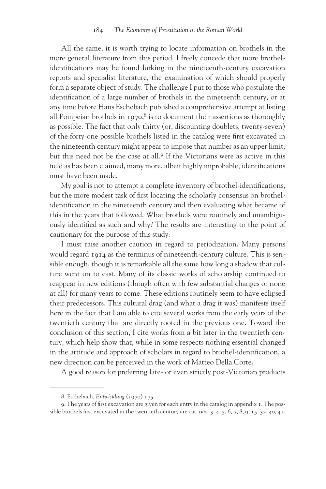All the same, it is worth trying to locate information on brothels in the more general literature from this period. I freely concede that more brothelidentifications may be found lurking in the nineteenth-century excavation reports and specialist literature, the examination of which should properly form a separate object of study. The challenge I put to those who postulate the identification of a large number of brothels in the nineteenth century, or at any time before Hans Eschebach published a comprehensive attempt at listing all Pompeian brothels in 1970, $8$  is to document their assertions as thoroughly as possible. The fact that only thirty (or, discounting doublets, twenty-seven) of the forty-one possible brothels listed in the catalog were first excavated in the nineteenth century might appear to impose that number as an upper limit, but this need not be the case at all.9 If the Victorians were as active in this field as has been claimed, many more, albeit highly improbable, identifications must have been made.

My goal is not to attempt a complete inventory of brothel-identifications, but the more modest task of first locating the scholarly consensus on brothelidentification in the nineteenth century and then evaluating what became of this in the years that followed. What brothels were routinely and unambiguously identified as such and why? The results are interesting to the point of cautionary for the purpose of this study.

I must raise another caution in regard to periodization. Many persons would regard 1914 as the terminus of nineteenth-century culture. This is sensible enough, though it is remarkable all the same how long a shadow that culture went on to cast. Many of its classic works of scholarship continued to reappear in new editions (though often with few substantial changes or none at all) for many years to come. These editions routinely seem to have eclipsed their predecessors. This cultural drag (and what a drag it was) manifests itself here in the fact that I am able to cite several works from the early years of the twentieth century that are directly rooted in the previous one. Toward the conclusion of this section, I cite works from a bit later in the twentieth century, which help show that, while in some respects nothing essential changed in the attitude and approach of scholars in regard to brothel-identification, a new direction can be perceived in the work of Matteo Della Corte.

A good reason for preferring late- or even strictly post-Victorian products

<sup>8.</sup> Eschebach, *Entwicklung* (1970) 175.

<sup>9.</sup> The years of first excavation are given for each entry in the catalog in appendix  $\tau$ . The possible brothels first excavated in the twentieth century are cat. nos.  $3, 4, 5, 6, 7, 8, 9, 15, 32, 40, 41$ .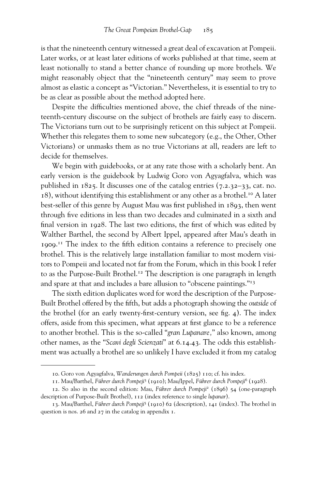is that the nineteenth century witnessed a great deal of excavation at Pompeii. Later works, or at least later editions of works published at that time, seem at least notionally to stand a better chance of rounding up more brothels. We might reasonably object that the "nineteenth century" may seem to prove almost as elastic a concept as "Victorian." Nevertheless, it is essential to try to be as clear as possible about the method adopted here.

Despite the difficulties mentioned above, the chief threads of the nineteenth-century discourse on the subject of brothels are fairly easy to discern. The Victorians turn out to be surprisingly reticent on this subject at Pompeii. Whether this relegates them to some new subcategory (e.g., the Other, Other Victorians) or unmasks them as no true Victorians at all, readers are left to decide for themselves.

We begin with guidebooks, or at any rate those with a scholarly bent. An early version is the guidebook by Ludwig Goro von Agyagfalva, which was published in 1825. It discusses one of the catalog entries (7.2.32–33, cat. no. 18), without identifying this establishment or any other as a brothel.<sup>10</sup> A later best-seller of this genre by August Mau was first published in 1893, then went through five editions in less than two decades and culminated in a sixth and final version in 1928. The last two editions, the first of which was edited by Walther Barthel, the second by Albert Ippel, appeared after Mau's death in 1909.<sup>11</sup> The index to the fifth edition contains a reference to precisely one brothel. This is the relatively large installation familiar to most modern visitors to Pompeii and located not far from the Forum, which in this book I refer to as the Purpose-Built Brothel.<sup>12</sup> The description is one paragraph in length and spare at that and includes a bare allusion to "obscene paintings."13

The sixth edition duplicates word for word the description of the Purpose-Built Brothel offered by the fifth, but adds a photograph showing the *outside* of the brothel (for an early twenty-first-century version, see fig.  $4$ ). The index offers, aside from this specimen, what appears at first glance to be a reference to another brothel. This is the so-called "*gran Lupanare,*" also known, among other names, as the "*Scavi degli Scienzati*" at 6.14.43. The odds this establishment was actually a brothel are so unlikely I have excluded it from my catalog

<sup>10.</sup> Goro von Agyagfalva, *Wanderungen durch Pompeii* (1825) 110; cf. his index.

<sup>11.</sup> Mau/Barthel, *Führer durch Pompeji*<sup>5</sup> (1910); Mau/Ippel, *Führer durch Pompeji*<sup>6</sup> (1928).

<sup>12.</sup> So also in the second edition: Mau, *Führer durch Pompeji*<sup>2</sup> (1896) 54 (one-paragraph description of Purpose-Built Brothel), 112 (index reference to single *lupanar*).

<sup>13.</sup> Mau/Barthel, *Führer durch Pompeji*<sup>5</sup> (1910) 62 (description), 141 (index). The brothel in question is nos. 26 and 27 in the catalog in appendix 1.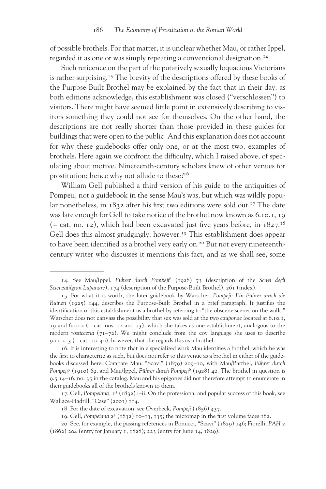of possible brothels. For that matter, it is unclear whether Mau, or rather Ippel, regarded it as one or was simply repeating a conventional designation.14

Such reticence on the part of the putatively sexually loquacious Victorians is rather surprising.<sup>15</sup> The brevity of the descriptions offered by these books of the Purpose-Built Brothel may be explained by the fact that in their day, as both editions acknowledge, this establishment was closed ("verschlossen") to visitors. There might have seemed little point in extensively describing to visitors something they could not see for themselves. On the other hand, the descriptions are not really shorter than those provided in these guides for buildings that were open to the public. And this explanation does not account for why these guidebooks offer only one, or at the most two, examples of brothels. Here again we confront the difficulty, which I raised above, of speculating about motive. Nineteenth-century scholars knew of other venues for prostitution; hence why not allude to these?<sup>16</sup>

William Gell published a third version of his guide to the antiquities of Pompeii, not a guidebook in the sense Mau's was, but which was wildly popular nonetheless, in  $1832$  after his first two editions were sold out.<sup>17</sup> The date was late enough for Gell to take notice of the brothel now known as 6.10.1, 19 (= cat. no. 12), which had been excavated just five years before, in  $1827$ <sup>18</sup> Gell does this almost grudgingly, however.<sup>19</sup> This establishment does appear to have been identified as a brothel very early on.<sup>20</sup> But not every nineteenthcentury writer who discusses it mentions this fact, and as we shall see, some

<sup>14.</sup> See Mau/Ippel, *Führer durch Pompeji6* (1928) 73 (description of the *Scavi degli Scienzati/gran Lupanare*), 174 (description of the Purpose-Built Brothel), 261 (index).

<sup>15.</sup> For what it is worth, the later guidebook by Warscher, *Pompeji: Ein Führer durch die Ruinen* (1925) 144, describes the Purpose-Built Brothel in a brief paragraph. It justifies the identification of this establishment as a brothel by referring to "the obscene scenes on the walls." Warscher does not canvass the possibility that sex was sold at the two *cauponae* located at 6.10.1, 19 and 6.10.2 (= cat. nos. 12 and 13), which she takes as one establishment, analogous to the modern *rosticceria* (71–72). We might conclude from the coy language she uses to describe  $9.11.2-3$  (= cat. no. 40), however, that she regards this as a brothel.

<sup>16.</sup> It is interesting to note that in a specialized work Mau identifies a brothel, which he was the first to characterize as such, but does not refer to this venue as a brothel in either of the guidebooks discussed here. Compare Mau, "Scavi" (1879) 209–10, with Mau/Barthel, *Führer durch Pompeji*<sup>5</sup> (1910) 69, and Mau/Ippel, *Führer durch Pompeji*<sup>6</sup> (1928) 42. The brothel in question is 9.5.14–16, no. 35 in the catalog. Mau and his epigones did not therefore attempt to enumerate in their guidebooks all of the brothels known to them.

<sup>17.</sup> Gell, *Pompeiana,* 13 (1832) i–ii. On the professional and popular success of this book, see Wallace-Hadrill, "Case" (2001) 114.

<sup>18.</sup> For the date of excavation, see Overbeck, *Pompeji* (1856) 437.

<sup>19.</sup> Gell, *Pompeiana*  $2^3$  ( $1832$ ) 10–13, 135; the micromap in the first volume faces 182.

<sup>20.</sup> See, for example, the passing references in Bonucci, "Scavi" (1829) 146; Fiorelli, *PAH* 2 (1862) 204 (entry for January 1, 1828); 223 (entry for June 14, 1829).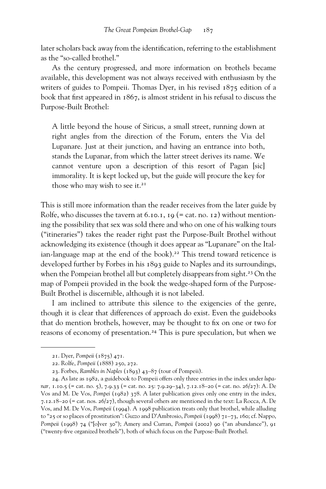later scholars back away from the identification, referring to the establishment as the "so-called brothel."

As the century progressed, and more information on brothels became available, this development was not always received with enthusiasm by the writers of guides to Pompeii. Thomas Dyer, in his revised 1875 edition of a book that first appeared in 1867, is almost strident in his refusal to discuss the Purpose-Built Brothel:

A little beyond the house of Siricus, a small street, running down at right angles from the direction of the Forum, enters the Via del Lupanare. Just at their junction, and having an entrance into both, stands the Lupanar, from which the latter street derives its name. We cannot venture upon a description of this resort of Pagan [sic] immorality. It is kept locked up, but the guide will procure the key for those who may wish to see it.<sup>21</sup>

This is still more information than the reader receives from the later guide by Rolfe, who discusses the tavern at  $6.10.1$ ,  $19$  (= cat. no. 12) without mentioning the possibility that sex was sold there and who on one of his walking tours ("itineraries") takes the reader right past the Purpose-Built Brothel without acknowledging its existence (though it does appear as "Lupanare" on the Italian-language map at the end of the book).<sup>22</sup> This trend toward reticence is developed further by Forbes in his 1893 guide to Naples and its surroundings, when the Pompeian brothel all but completely disappears from sight.<sup>23</sup> On the map of Pompeii provided in the book the wedge-shaped form of the Purpose-Built Brothel is discernible, although it is not labeled.

I am inclined to attribute this silence to the exigencies of the genre, though it is clear that differences of approach do exist. Even the guidebooks that do mention brothels, however, may be thought to fix on one or two for reasons of economy of presentation.<sup>24</sup> This is pure speculation, but when we

<sup>21.</sup> Dyer, *Pompeii* (1875) 471.

<sup>22.</sup> Rolfe, *Pompeii* (1888) 250, 272.

<sup>23.</sup> Forbes, *Rambles in Naples* (1893) 43–87 (tour of Pompeii).

<sup>24.</sup> As late as 1982, a guidebook to Pompeii offers only three entries in the index under *lupanar,* 1.10.5 (= cat. no. 5), 7.9.33 (= cat. no. 25: 7.9.29–34), 7.12.18–20 (= cat. no. 26/27): A. De Vos and M. De Vos, *Pompei* (1982) 378. A later publication gives only one entry in the index, 7.12.18–20 (= cat. nos. 26/27), though several others are mentioned in the text: La Rocca, A. De Vos, and M. De Vos, *Pompeii* (1994). A 1998 publication treats only that brothel, while alluding to "25 or so places of prostitution": Guzzo and D'Ambrosio, *Pompeii* (1998) 71–73, 160; cf. Nappo, *Pompeii* (1998) 74 ("[o]ver 30"); Amery and Curran, *Pompeii* (2002) 90 ("an abundance"), 91 ("twenty-five organized brothels"), both of which focus on the Purpose-Built Brothel.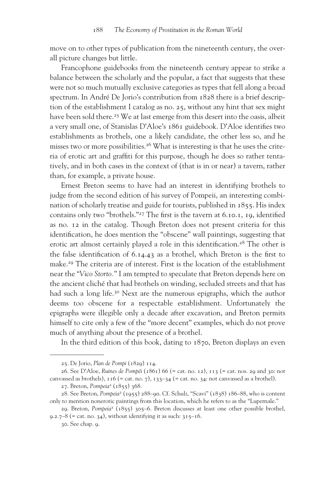move on to other types of publication from the nineteenth century, the overall picture changes but little.

Francophone guidebooks from the nineteenth century appear to strike a balance between the scholarly and the popular, a fact that suggests that these were not so much mutually exclusive categories as types that fell along a broad spectrum. In André De Jorio's contribution from 1828 there is a brief description of the establishment I catalog as no. 25, without any hint that sex might have been sold there.<sup>25</sup> We at last emerge from this desert into the oasis, albeit a very small one, of Stanislas D'Aloe's 1861 guidebook. D'Aloe identifies two establishments as brothels, one a likely candidate, the other less so, and he misses two or more possibilities.<sup>26</sup> What is interesting is that he uses the criteria of erotic art and graffiti for this purpose, though he does so rather tentatively, and in both cases in the context of (that is in or near) a tavern, rather than, for example, a private house.

Ernest Breton seems to have had an interest in identifying brothels to judge from the second edition of his survey of Pompeii, an interesting combination of scholarly treatise and guide for tourists, published in 1855. His index contains only two "brothels."<sup>27</sup> The first is the tavern at  $6.10.1$ , 19, identified as no. 12 in the catalog. Though Breton does not present criteria for this identification, he does mention the "obscene" wall paintings, suggesting that erotic art almost certainly played a role in this identification.<sup>28</sup> The other is the false identification of  $6.14.43$  as a brothel, which Breton is the first to make.29 The criteria are of interest. First is the location of the establishment near the "*Vico Storto.*" I am tempted to speculate that Breton depends here on the ancient cliché that had brothels on winding, secluded streets and that has had such a long life.<sup>30</sup> Next are the numerous epigraphs, which the author deems too obscene for a respectable establishment. Unfortunately the epigraphs were illegible only a decade after excavation, and Breton permits himself to cite only a few of the "more decent" examples, which do not prove much of anything about the presence of a brothel.

In the third edition of this book, dating to 1870, Breton displays an even

<sup>25.</sup> De Jorio, *Plan de Pompi* (1829) 114.

<sup>26.</sup> See D'Aloe, *Ruines de Pompéi* (1861) 66 (= cat. no. 12), 113 (= cat. nos. 29 and 30: not canvassed as brothels),  $116$  (= cat. no. 7),  $133-34$  (= cat. no. 34: not canvassed as a brothel).

<sup>27.</sup> Breton, *Pompeia*<sup>2</sup> (1855) 368.

<sup>28.</sup> See Breton, *Pompeia*<sup>2</sup> (1955) 288–90. Cf. Schulz, "Scavi" (1838) 186–88, who is content only to mention nonerotic paintings from this location, which he refers to as the "Lupernale."

<sup>29.</sup> Breton, *Pompeia*<sup>2</sup> (1855) 305–6. Breton discusses at least one other possible brothel,  $9.2.7-8$  (= cat. no. 34), without identifying it as such:  $315-16$ .

<sup>30.</sup> See chap. 9.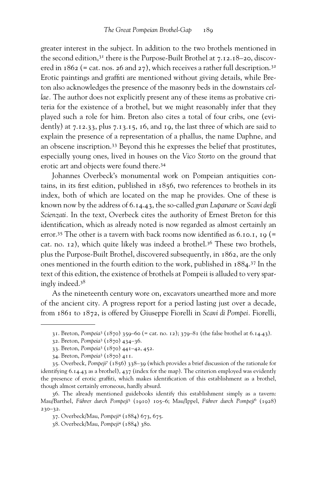greater interest in the subject. In addition to the two brothels mentioned in the second edition,31 there is the Purpose-Built Brothel at 7.12.18–20, discovered in  $1862$  (= cat. nos. 26 and  $27$ ), which receives a rather full description.<sup>32</sup> Erotic paintings and graffiti are mentioned without giving details, while Breton also acknowledges the presence of the masonry beds in the downstairs *cellae.* The author does not explicitly present any of these items as probative criteria for the existence of a brothel, but we might reasonably infer that they played such a role for him. Breton also cites a total of four cribs, one (evidently) at 7.12.33, plus 7.13.15, 16, and 19, the last three of which are said to explain the presence of a representation of a phallus, the name Daphne, and an obscene inscription.33 Beyond this he expresses the belief that prostitutes, especially young ones, lived in houses on the *Vico Storto* on the ground that erotic art and objects were found there.34

Johannes Overbeck's monumental work on Pompeian antiquities contains, in its first edition, published in  $1856$ , two references to brothels in its index, both of which are located on the map he provides. One of these is known now by the address of 6.14.43, the so-called *gran Lupanare* or *Scavi degli Scienzati.* In the text, Overbeck cites the authority of Ernest Breton for this identification, which as already noted is now regarded as almost certainly an error.<sup>35</sup> The other is a tavern with back rooms now identified as  $6.10.1$ ,  $19$  (= cat. no.  $12$ ), which quite likely was indeed a brothel.<sup>36</sup> These two brothels, plus the Purpose-Built Brothel, discovered subsequently, in 1862, are the only ones mentioned in the fourth edition to the work, published in 1884.37 In the text of this edition, the existence of brothels at Pompeii is alluded to very sparingly indeed.38

As the nineteenth century wore on, excavators unearthed more and more of the ancient city. A progress report for a period lasting just over a decade, from 1861 to 1872, is offered by Giuseppe Fiorelli in *Scavi di Pompei.* Fiorelli,

<sup>31.</sup> Breton, *Pompeia*<sup>3</sup> (1870) 359–60 (= cat. no. 12); 379–81 (the false brothel at 6.14.43).

<sup>32.</sup> Breton, *Pompeia*<sup>3</sup> (1870) 434–36.

<sup>33.</sup> Breton, *Pompeia*<sup>3</sup> (1870) 441–42, 452.

<sup>34.</sup> Breton, *Pompeia*<sup>3</sup> (1870) 411.

<sup>35.</sup> Overbeck, *Pompeji7* (1856) 338–39 (which provides a brief discussion of the rationale for identifying  $6.14.43$  as a brothel),  $437$  (index for the map). The criterion employed was evidently the presence of erotic graffiti, which makes identification of this establishment as a brothel, though almost certainly erroneous, hardly absurd.

<sup>36.</sup> The already mentioned guidebooks identify this establishment simply as a tavern: Mau/Barthel, *Führer durch Pompeji*<sup>5</sup> (1910) 105–6; Mau/Ippel, *Führer durch Pompeji*<sup>6</sup> (1928) 230–32.

<sup>37.</sup> Overbeck/Mau, *Pompeji*<sup>4</sup> (1884) 673, 675.

<sup>38.</sup> Overbeck/Mau, *Pompeji*<sup>4</sup> (1884) 380.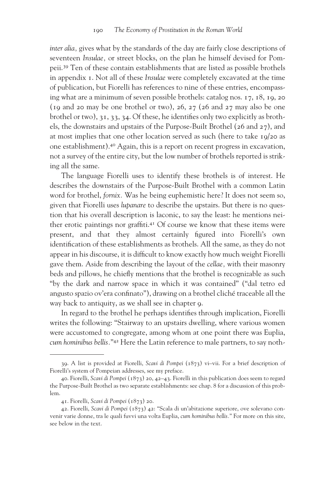*inter alia,* gives what by the standards of the day are fairly close descriptions of seventeen *Insulae,* or street blocks, on the plan he himself devised for Pompeii.39 Ten of these contain establishments that are listed as possible brothels in appendix 1. Not all of these *Insulae* were completely excavated at the time of publication, but Fiorelli has references to nine of these entries, encompassing what are a minimum of seven possible brothels: catalog nos. 17, 18, 19, 20 (19 and 20 may be one brothel or two), 26, 27 (26 and 27 may also be one brothel or two),  $31, 33, 34$ . Of these, he identifies only two explicitly as brothels, the downstairs and upstairs of the Purpose-Built Brothel (26 and 27), and at most implies that one other location served as such (here to take 19/20 as one establishment).40 Again, this is a report on recent progress in excavation, not a survey of the entire city, but the low number of brothels reported is striking all the same.

The language Fiorelli uses to identify these brothels is of interest. He describes the downstairs of the Purpose-Built Brothel with a common Latin word for brothel, *fornix.* Was he being euphemistic here? It does not seem so, given that Fiorelli uses *lupanare* to describe the upstairs. But there is no question that his overall description is laconic, to say the least: he mentions neither erotic paintings nor graffiti.<sup>41</sup> Of course we know that these items were present, and that they almost certainly figured into Fiorelli's own identification of these establishments as brothels. All the same, as they do not appear in his discourse, it is difficult to know exactly how much weight Fiorelli gave them. Aside from describing the layout of the *cellae,* with their masonry beds and pillows, he chiefly mentions that the brothel is recognizable as such "by the dark and narrow space in which it was contained" ("dal tetro ed angusto spazio ov'era confinato"), drawing on a brothel cliché traceable all the way back to antiquity, as we shall see in chapter 9.

In regard to the brothel he perhaps identifies through implication, Fiorelli writes the following: "Stairway to an upstairs dwelling, where various women were accustomed to congregate, among whom at one point there was Euplia, *cum hominibus bellis.*"42 Here the Latin reference to male partners, to say noth-

<sup>39.</sup> A list is provided at Fiorelli, *Scavi di Pompei* (1873) vi–vii. For a brief description of Fiorelli's system of Pompeian addresses, see my preface.

<sup>40.</sup> Fiorelli, *Scavi di Pompei* (1873) 20, 42–43. Fiorelli in this publication does seem to regard the Purpose-Built Brothel as two separate establishments: see chap. 8 for a discussion of this problem.

<sup>41.</sup> Fiorelli, *Scavi di Pompei* (1873) 20.

<sup>42.</sup> Fiorelli, *Scavi di Pompei* (1873) 42: "Scala di un'abitazione superiore, ove solevano convenir varie donne, tra le quali fuvvi una volta Euplia, *cum hominibus bellis.*" For more on this site, see below in the text.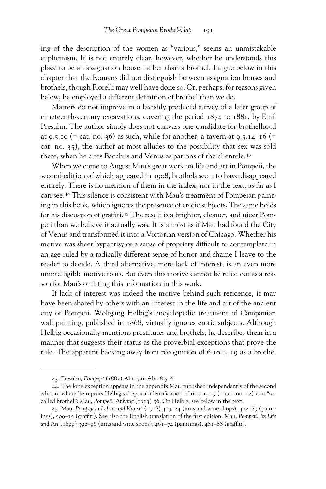ing of the description of the women as "various," seems an unmistakable euphemism. It is not entirely clear, however, whether he understands this place to be an assignation house, rather than a brothel. I argue below in this chapter that the Romans did not distinguish between assignation houses and brothels, though Fiorelli may well have done so. Or, perhaps, for reasons given below, he employed a different definition of brothel than we do.

Matters do not improve in a lavishly produced survey of a later group of nineteenth-century excavations, covering the period 1874 to 1881, by Emil Presuhn. The author simply does not canvass one candidate for brothelhood at 9.5.19 (= cat. no. 36) as such, while for another, a tavern at  $9.5.14-16$  (= cat. no. 35), the author at most alludes to the possibility that sex was sold there, when he cites Bacchus and Venus as patrons of the clientele.43

When we come to August Mau's great work on life and art in Pompeii, the second edition of which appeared in 1908, brothels seem to have disappeared entirely. There is no mention of them in the index, nor in the text, as far as I can see.44 This silence is consistent with Mau's treatment of Pompeian painting in this book, which ignores the presence of erotic subjects. The same holds for his discussion of graffiti.<sup>45</sup> The result is a brighter, cleaner, and nicer Pompeii than we believe it actually was. It is almost as if Mau had found the City of Venus and transformed it into a Victorian version of Chicago. Whether his motive was sheer hypocrisy or a sense of propriety difficult to contemplate in an age ruled by a radically different sense of honor and shame I leave to the reader to decide. A third alternative, mere lack of interest, is an even more unintelligible motive to us. But even this motive cannot be ruled out as a reason for Mau's omitting this information in this work.

If lack of interest was indeed the motive behind such reticence, it may have been shared by others with an interest in the life and art of the ancient city of Pompeii. Wolfgang Helbig's encyclopedic treatment of Campanian wall painting, published in 1868, virtually ignores erotic subjects. Although Helbig occasionally mentions prostitutes and brothels, he describes them in a manner that suggests their status as the proverbial exceptions that prove the rule. The apparent backing away from recognition of 6.10.1, 19 as a brothel

<sup>43.</sup> Presuhn, *Pompeji*<sup>2</sup> (1882) Abt. 7.6, Abt. 8.5–6.

<sup>44.</sup> The lone exception appears in the appendix Mau published independently of the second edition, where he repeats Helbig's skeptical identification of 6.10.1, 19 (= cat. no. 12) as a "socalled brothel": Mau, *Pompeji: Anhang* (1913) 56. On Helbig, see below in the text.

<sup>45.</sup> Mau, *Pompeji in Leben und Kunst*<sup>2</sup> (1908) 419–24 (inns and wine shops), 472–89 (paintings), 509–15 (graffiti). See also the English translation of the first edition: Mau, *Pompeii: Its Life* and Art  $(1899)$   $392-96$  (inns and wine shops),  $461-74$  (paintings),  $481-88$  (graffiti).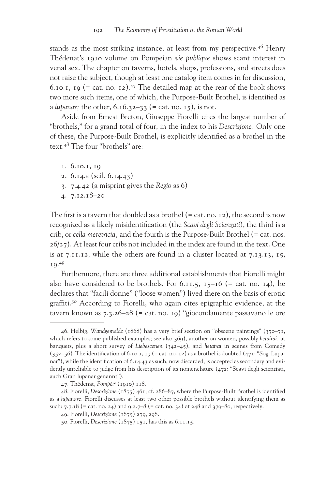stands as the most striking instance, at least from my perspective.<sup>46</sup> Henry Thédenat's 1910 volume on Pompeian *vie publique* shows scant interest in venal sex. The chapter on taverns, hotels, shops, professions, and streets does not raise the subject, though at least one catalog item comes in for discussion, 6.10.1, 19 (= cat. no. 12).<sup>47</sup> The detailed map at the rear of the book shows two more such items, one of which, the Purpose-Built Brothel, is identified as a *lupanar*; the other,  $6.16.32 - 33$  (= cat. no. 15), is not.

Aside from Ernest Breton, Giuseppe Fiorelli cites the largest number of "brothels," for a grand total of four, in the index to his *Descrizione.* Only one of these, the Purpose-Built Brothel, is explicitly identified as a brothel in the text.48 The four "brothels" are:

- 1. 6.10.1, 19
- 2. 6.14.a (scil. 6.14.43)
- 3. 7.4.42 (a misprint gives the *Regio* as 6)
- 4. 7.12.18–20

The first is a tavern that doubled as a brothel  $(= cat. no. 12)$ , the second is now recognized as a likely misidentification (the *Scavi degli Scienzati*), the third is a crib, or *cella meretricia,* and the fourth is the Purpose-Built Brothel (= cat. nos.  $26/27$ ). At least four cribs not included in the index are found in the text. One is at 7.11.12, while the others are found in a cluster located at 7.13.13, 15, 19.49

Furthermore, there are three additional establishments that Fiorelli might also have considered to be brothels. For 6.11.5,  $15-16$  (= cat. no. 14), he declares that "facili donne" ("loose women") lived there on the basis of erotic graffiti.<sup>50</sup> According to Fiorelli, who again cites epigraphic evidence, at the tavern known as 7.3.26–28 (= cat. no. 19) "giocondamente passavano le ore

<sup>46.</sup> Helbig, *Wandgemälde* (1868) has a very brief section on "obscene paintings" (370–71, which refers to some published examples; see also 369), another on women, possibly *hetairai,* at banquets, plus a short survey of *Liebescenen* (342–45), and *hetairai* in scenes from Comedy  $(352–56)$ . The identification of 6.10.1, 19 (= cat. no. 12) as a brothel is doubted  $(471:$  "Sog. Lupanar"), while the identification of  $6.14.43$  as such, now discarded, is accepted as secondary and evidently unreliable to judge from his description of its nomenclature (472: "Scavi degli scienziati, auch Gran lupanar genannt").

<sup>47.</sup> Thédenat, *Pompéi*<sup>2</sup> (1910) 118.

<sup>48.</sup> Fiorelli, *Descrizione* (1875) 461; cf. 286–87, where the Purpose-Built Brothel is identified as a *lupanare.* Fiorelli discusses at least two other possible brothels without identifying them as such: 7.7.18 (= cat. no. 24) and 9.2.7–8 (= cat. no. 34) at 248 and 379–80, respectively.

<sup>49.</sup> Fiorelli, *Descrizione* (1875) 279, 298.

<sup>50.</sup> Fiorelli, *Descrizione* (1875) 151, has this as 6.11.15.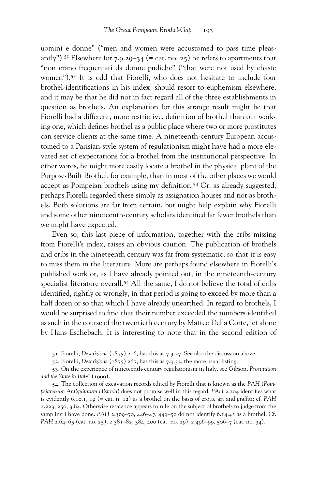uomini e donne" ("men and women were accustomed to pass time pleasantly").<sup>51</sup> Elsewhere for 7.9.29–34 (= cat. no. 25) he refers to apartments that "non erano frequentati da donne pudiche" ("that were not used by chaste women").<sup>52</sup> It is odd that Fiorelli, who does not hesitate to include four brothel-identifications in his index, should resort to euphemism elsewhere, and it may be that he did not in fact regard all of the three establishments in question as brothels. An explanation for this strange result might be that Fiorelli had a different, more restrictive, definition of brothel than our working one, which defines brothel as a public place where two or more prostitutes can service clients at the same time. A nineteenth-century European accustomed to a Parisian-style system of regulationism might have had a more elevated set of expectations for a brothel from the institutional perspective. In other words, he might more easily locate a brothel in the physical plant of the Purpose-Built Brothel, for example, than in most of the other places we would accept as Pompeian brothels using my definition.<sup>53</sup> Or, as already suggested, perhaps Fiorelli regarded these simply as assignation houses and not as brothels. Both solutions are far from certain, but might help explain why Fiorelli and some other nineteenth-century scholars identified far fewer brothels than we might have expected.

Even so, this last piece of information, together with the cribs missing from Fiorelli's index, raises an obvious caution. The publication of brothels and cribs in the nineteenth century was far from systematic, so that it is easy to miss them in the literature. More are perhaps found elsewhere in Fiorelli's published work or, as I have already pointed out, in the nineteenth-century specialist literature overall.<sup>54</sup> All the same, I do not believe the total of cribs identified, rightly or wrongly, in that period is going to exceed by more than a half dozen or so that which I have already unearthed. In regard to brothels, I would be surprised to find that their number exceeded the numbers identified as such in the course of the twentieth century by Matteo Della Corte, let alone by Hans Eschebach. It is interesting to note that in the second edition of

<sup>51.</sup> Fiorelli, *Descrizione* (1875) 206, has this as 7.3.27. See also the discussion above.

<sup>52.</sup> Fiorelli, *Descrizione* (1875) 267, has this as 7.9.32, the more usual listing.

<sup>53.</sup> On the experience of nineteenth-century regulationism in Italy, see Gibson, *Prostitution and the State in Italy<sup>2</sup>* (1999).

<sup>54.</sup> The collection of excavation records edited by Fiorelli that is known as the *PAH* (*Pompeianarum Antiquitatum Historia*) does not promise well in this regard. *PAH* 2.204 identifies what is evidently 6.10.1,  $IQ = cat$ .  $n. 12$ ) as a brothel on the basis of erotic art and graffiti; cf. *PAH* 2.223, 250, 3.84. Otherwise reticence appears to rule on the subject of brothels to judge from the sampling I have done. *PAH* 2.369–70, 446–47, 449–50 do not identify 6.14.43 as a brothel. Cf. *PAH* 2.64–65 (cat. no. 25), 2.381–82, 384, 400 (cat. no. 29), 2.496–99, 506–7 (cat. no. 34).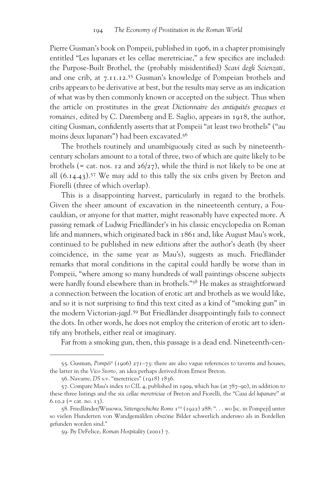Pierre Gusman's book on Pompeii, published in 1906, in a chapter promisingly entitled "Les lupanars et les cellae meretriciae," a few specifics are included: the Purpose-Built Brothel, the (probably misidentified) *Scavi degli Scienzati*, and one crib, at 7.11.12.55 Gusman's knowledge of Pompeian brothels and cribs appears to be derivative at best, but the results may serve as an indication of what was by then commonly known or accepted on the subject. Thus when the article on prostitutes in the great *Dictionnaire des antiquités grecques et romaines,* edited by C. Daremberg and E. Saglio, appears in 1918, the author, citing Gusman, confidently asserts that at Pompeii "at least two brothels" ("au moins deux lupanars") had been excavated.56

The brothels routinely and unambiguously cited as such by nineteenthcentury scholars amount to a total of three, two of which are quite likely to be brothels (= cat. nos. 12 and  $26/27$ ), while the third is not likely to be one at all  $(6.14.43).$ <sup>57</sup> We may add to this tally the six cribs given by Breton and Fiorelli (three of which overlap).

This is a disappointing harvest, particularly in regard to the brothels. Given the sheer amount of excavation in the nineeteenth century, a Foucauldian, or anyone for that matter, might reasonably have expected more. A passing remark of Ludwig Friedländer's in his classic encyclopedia on Roman life and manners, which originated back in 1861 and, like August Mau's work, continued to be published in new editions after the author's death (by sheer coincidence, in the same year as Mau's), suggests as much. Friedländer remarks that moral conditions in the capital could hardly be worse than in Pompeii, "where among so many hundreds of wall paintings obscene subjects were hardly found elsewhere than in brothels."58 He makes as straightforward a connection between the location of erotic art and brothels as we would like, and so it is not surprising to find this text cited as a kind of "smoking gun" in the modern Victorian-*jagd.*<sup>59</sup> But Friedländer disappointingly fails to connect the dots. In other words, he does not employ the criterion of erotic art to identify any brothels, either real or imaginary.

Far from a smoking gun, then, this passage is a dead end. Nineteenth-cen-

<sup>55.</sup> Gusman, *Pompéi*<sup>2</sup> (1906) 271–73: there are also vague references to taverns and houses, the latter in the *Vico Storto,* an idea perhaps derived from Ernest Breton.

<sup>56.</sup> Navarre, *DS* s.v. "meretrices" (1918) 1836.

<sup>57.</sup> Compare Mau's index to *CIL* 4, published in 1909, which has (at 787–90), in addition to these three listings and the six *cellae meretriciae* of Breton and Fiorelli, the "*Casa del lupanare*" at  $6.10.2$  (= cat. no. 13).

<sup>58.</sup> Friedländer/Wissowa, *Sittengeschichte Roms* 110 (1922) 288: ". . . wo [sc. in Pompeji] unter so vielen Hunderten von Wandgemälden obszöne Bilder schwerlich anderswo als in Bordellen gefunden worden sind."

<sup>59.</sup> By DeFelice, *Roman Hospitality* (2001) 7.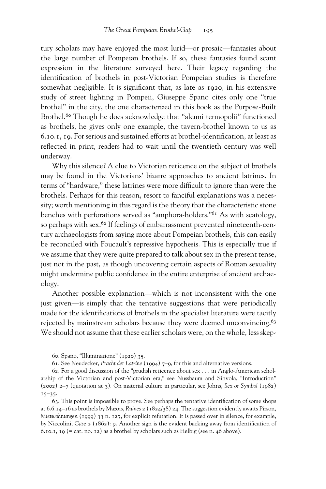tury scholars may have enjoyed the most lurid—or prosaic—fantasies about the large number of Pompeian brothels. If so, these fantasies found scant expression in the literature surveyed here. Their legacy regarding the identification of brothels in post-Victorian Pompeian studies is therefore somewhat negligible. It is significant that, as late as 1920, in his extensive study of street lighting in Pompeii, Giuseppe Spano cites only one "true brothel" in the city, the one characterized in this book as the Purpose-Built Brothel.<sup>60</sup> Though he does acknowledge that "alcuni termopolii" functioned as brothels, he gives only one example, the tavern-brothel known to us as 6.10.1, 19. For serious and sustained efforts at brothel-identification, at least as reflected in print, readers had to wait until the twentieth century was well underway.

Why this silence? A clue to Victorian reticence on the subject of brothels may be found in the Victorians' bizarre approaches to ancient latrines. In terms of "hardware," these latrines were more difficult to ignore than were the brothels. Perhaps for this reason, resort to fanciful explanations was a necessity; worth mentioning in this regard is the theory that the characteristic stone benches with perforations served as "amphora-holders."61 As with scatology, so perhaps with sex.<sup>62</sup> If feelings of embarrassment prevented nineteenth-century archaeologists from saying more about Pompeian brothels, this can easily be reconciled with Foucault's repressive hypothesis. This is especially true if we assume that they were quite prepared to talk about sex in the present tense, just not in the past, as though uncovering certain aspects of Roman sexuality might undermine public confidence in the entire enterprise of ancient archaeology.

Another possible explanation—which is not inconsistent with the one just given—is simply that the tentative suggestions that were periodically made for the identifications of brothels in the specialist literature were tacitly rejected by mainstream scholars because they were deemed unconvincing.<sup>63</sup> We should not assume that these earlier scholars were, on the whole, less skep-

<sup>60.</sup> Spano, "Illuminazione" (1920) 35.

<sup>61.</sup> See Neudecker, *Pracht der Latrine* (1994) 7–9, for this and alternative versions.

<sup>62.</sup> For a good discussion of the "prudish reticence about sex . . . in Anglo-American scholarship of the Victorian and post-Victorian era," see Nussbaum and Sihvola, "Introduction" (2002) 2–7 (quotation at 3). On material culture in particular, see Johns, *Sex or Symbol* (1982)  $15-35.$ 

 $63$ . This point is impossible to prove. See perhaps the tentative identification of some shops at 6.6.14–16 as brothels by Mazois, *Ruines* 2 (1824/38) 24. The suggestion evidently awaits Pirson, *Mietwohnungen* (1999) 33 n. 127, for explicit refutation. It is passed over in silence, for example, by Niccolini, *Case* 2 (1862): 9. Another sign is the evident backing away from identification of  $6.10.1$ ,  $19$  (= cat. no.  $12$ ) as a brothel by scholars such as Helbig (see n. 46 above).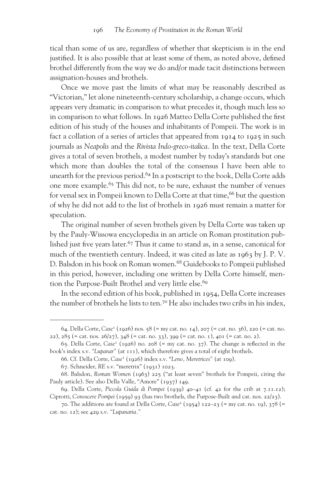tical than some of us are, regardless of whether that skepticism is in the end justified. It is also possible that at least some of them, as noted above, defined brothel differently from the way we do and/or made tacit distinctions between assignation-houses and brothels.

Once we move past the limits of what may be reasonably described as "Victorian," let alone nineteenth-century scholarship, a change occurs, which appears very dramatic in comparison to what precedes it, though much less so in comparison to what follows. In 1926 Matteo Della Corte published the first edition of his study of the houses and inhabitants of Pompeii. The work is in fact a collation of a series of articles that appeared from 1914 to 1925 in such journals as *Neapolis* and the *Rivista Indo-greco-italica.* In the text, Della Corte gives a total of seven brothels, a modest number by today's standards but one which more than doubles the total of the consensus I have been able to unearth for the previous period.<sup>64</sup> In a postscript to the book, Della Corte adds one more example.65 This did not, to be sure, exhaust the number of venues for venal sex in Pompeii known to Della Corte at that time,<sup>66</sup> but the question of why he did not add to the list of brothels in 1926 must remain a matter for speculation.

The original number of seven brothels given by Della Corte was taken up by the Pauly-Wissowa encyclopedia in an article on Roman prostitution published just five years later.<sup>67</sup> Thus it came to stand as, in a sense, canonical for much of the twentieth century. Indeed, it was cited as late as 1963 by J. P. V. D. Balsdon in his book on Roman women.<sup>68</sup> Guidebooks to Pompeii published in this period, however, including one written by Della Corte himself, mention the Purpose-Built Brothel and very little else.<sup>69</sup>

In the second edition of his book, published in 1954, Della Corte increases the number of brothels he lists to ten.<sup>70</sup> He also includes two cribs in his index,

<sup>64.</sup> Della Corte, *Case*<sup>1</sup> (1926) nos. 58 (= my cat. no. 14), 207 (= cat. no. 36), 220 (= cat. no. 22),  $285$  (= cat. nos.  $26/27$ ),  $348$  (= cat. no. 33),  $399$  (= cat. no. 1),  $401$  (= cat. no. 2).

<sup>65.</sup> Della Corte, Case<sup>1</sup> (1926) no. 208 (= my cat. no. 37). The change is reflected in the book's index s.v. *"Lupanar"* (at 111), which therefore gives a total of eight brothels.

<sup>66.</sup> Cf. Della Corte, *Case*<sup>1</sup> (1926) index s.v. "*Leno, Meretrices"* (at 109).

<sup>67.</sup> Schneider, *RE* s.v. "meretrix" (1931) 1023.

<sup>68.</sup> Balsdon, *Roman Women* (1963) 225 ("at least seven" brothels for Pompeii, citing the Pauly article). See also Della Valle, "Amore" (1937) 149.

<sup>69.</sup> Della Corte, *Piccola Guida di Pompei* (1939) 40–41 (cf. 42 for the crib at 7.11.12); Ciprotti, *Conoscere Pompei* (1959) 93 (has two brothels, the Purpose-Built and cat. nos. 22/23).

<sup>70.</sup> The additions are found at Della Corte, *Case*<sup>2</sup> (1954) 122–23 (= my cat. no. 19), 378 (= cat. no. 12); see 429 s.v. *"Lupanaria."*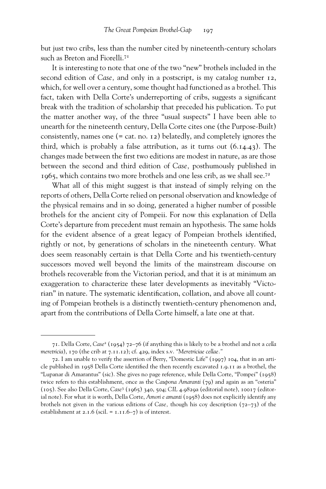but just two cribs, less than the number cited by nineteenth-century scholars such as Breton and Fiorelli.<sup>71</sup>

It is interesting to note that one of the two "new" brothels included in the second edition of *Case,* and only in a postscript, is my catalog number 12, which, for well over a century, some thought had functioned as a brothel. This fact, taken with Della Corte's underreporting of cribs, suggests a significant break with the tradition of scholarship that preceded his publication. To put the matter another way, of the three "usual suspects" I have been able to unearth for the nineteenth century, Della Corte cites one (the Purpose-Built) consistently, names one (= cat. no. 12) belatedly, and completely ignores the third, which is probably a false attribution, as it turns out (6.14.43). The changes made between the first two editions are modest in nature, as are those between the second and third edition of *Case,* posthumously published in 1965, which contains two more brothels and one less crib, as we shall see.72

What all of this might suggest is that instead of simply relying on the reports of others, Della Corte relied on personal observation and knowledge of the physical remains and in so doing, generated a higher number of possible brothels for the ancient city of Pompeii. For now this explanation of Della Corte's departure from precedent must remain an hypothesis. The same holds for the evident absence of a great legacy of Pompeian brothels identified, rightly or not, by generations of scholars in the nineteenth century. What does seem reasonably certain is that Della Corte and his twentieth-century successors moved well beyond the limits of the mainstream discourse on brothels recoverable from the Victorian period, and that it is at minimum an exaggeration to characterize these later developments as inevitably "Victorian" in nature. The systematic identification, collation, and above all counting of Pompeian brothels is a distinctly twentieth-century phenomenon and, apart from the contributions of Della Corte himself, a late one at that.

<sup>71.</sup> Della Corte, *Case*<sup>2</sup> (1954) 72–76 (if anything this is likely to be a brothel and not a *cella meretricia*), 170 (the crib at 7.11.12); cf. 429, index s.v. *"Meretriciae cellae."*

<sup>72.</sup> I am unable to verify the assertion of Berry, "Domestic Life" (1997) 104, that in an article published in 1958 Della Corte identified the then recently excavated 1.9.11 as a brothel, the "Lupanar di Amarantus" (sic). She gives no page reference, while Della Corte, "Pompei" (1958) twice refers to this establishment, once as the *Caupona Amaranti* (79) and again as an "osteria" (105). See also Della Corte, *Case*<sup>3</sup> (1965) 340, 504; *CIL* 4.9829a (editorial note), 10017 (editorial note). For what it is worth, Della Corte, *Amori e amanti* (1958) does not explicitly identify any brothels not given in the various editions of *Case,* though his coy description (72–73) of the establishment at  $2.1.6$  (scil. =  $1.11.6-7$ ) is of interest.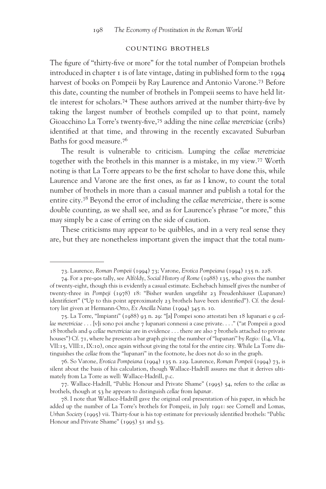## counting brothels

The figure of "thirty-five or more" for the total number of Pompeian brothels introduced in chapter 1 is of late vintage, dating in published form to the 1994 harvest of books on Pompeii by Ray Laurence and Antonio Varone.73 Before this date, counting the number of brothels in Pompeii seems to have held little interest for scholars.<sup>74</sup> These authors arrived at the number thirty-five by taking the largest number of brothels compiled up to that point, namely Gioacchino La Torre's twenty-five,<sup>75</sup> adding the nine *cellae meretriciae* (cribs) identified at that time, and throwing in the recently excavated Suburban Baths for good measure.76

The result is vulnerable to criticism. Lumping the *cellae meretriciae* together with the brothels in this manner is a mistake, in my view.77 Worth noting is that La Torre appears to be the first scholar to have done this, while Laurence and Varone are the first ones, as far as I know, to count the total number of brothels in more than a casual manner and publish a total for the entire city.78 Beyond the error of including the *cellae meretriciae,* there is some double counting, as we shall see, and as for Laurence's phrase "or more," this may simply be a case of erring on the side of caution.

These criticisms may appear to be quibbles, and in a very real sense they are, but they are nonetheless important given the impact that the total num-

<sup>73.</sup> Laurence, *Roman Pompeii* (1994) 73; Varone, *Erotica Pompeiana* (1994) 135 n. 228.

<sup>74.</sup> For a pre-90s tally, see Alföldy, *Social History of Rome* (1988) 135, who gives the number of twenty-eight, though this is evidently a casual estimate. Eschebach himself gives the number of twenty-three in *Pompeji* (1978) 18: "Bisher wurden ungefähr 23 Freudenhäuser (Lupanare) identifiziert" ("Up to this point approximately 23 brothels have been identified"). Cf. the desultory list given at Hermann-Otto, *Ex Ancilla Natus* (1994) 345 n. 10.

<sup>75.</sup> La Torre, "Impianti" (1988) 93 n. 29: "[a] Pompei sono attestati ben 18 lupanari e 9 *cellae meretriciae* . . . [v]i sono poi anche 7 lupanari connessi a case private. . . ." ("at Pompeii a good 18 brothels and 9 *cellae meretriciae* are in evidence . . . there are also 7 brothels attached to private houses") Cf. 71, where he presents a bar graph giving the number of "lupanari" by *Regio:* (I:4, VI:4, VII:15, VIII:1, IX:10), once again without giving the total for the entire city. While La Torre distinguishes the *cellae* from the "lupanari" in the footnote, he does not do so in the graph.

<sup>76.</sup> So Varone, *Erotica Pompeiana* (1994) 135 n. 229. Laurence, *Roman Pompeii* (1994) 73, is silent about the basis of his calculation, though Wallace-Hadrill assures me that it derives ultimately from La Torre as well: Wallace-Hadrill, p.c.

<sup>77.</sup> Wallace-Hadrill, "Public Honour and Private Shame" (1995) 54, refers to the *cellae* as brothels, though at 53 he appears to distinguish *cellae* from *lupanar.*

<sup>78.</sup> I note that Wallace-Hadrill gave the original oral presentation of his paper, in which he added up the number of La Torre's brothels for Pompeii, in July 1991: see Cornell and Lomas, *Urban Society* (1995) vii. Thirty-four is his top estimate for previously identified brothels: "Public Honour and Private Shame" (1995) 51 and 53.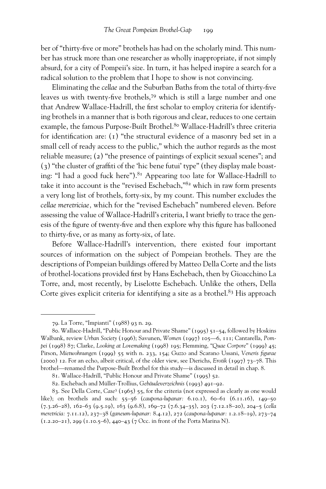ber of "thirty-five or more" brothels has had on the scholarly mind. This number has struck more than one researcher as wholly inappropriate, if not simply absurd, for a city of Pompeii's size. In turn, it has helped inspire a search for a radical solution to the problem that I hope to show is not convincing.

Eliminating the *cellae* and the Suburban Baths from the total of thirty-five leaves us with twenty-five brothels,<sup>79</sup> which is still a large number and one that Andrew Wallace-Hadrill, the first scholar to employ criteria for identifying brothels in a manner that is both rigorous and clear, reduces to one certain example, the famous Purpose-Built Brothel.<sup>80</sup> Wallace-Hadrill's three criteria for identification are:  $(1)$  "the structural evidence of a masonry bed set in a small cell of ready access to the public," which the author regards as the most reliable measure; (2) "the presence of paintings of explicit sexual scenes"; and  $(3)$  "the cluster of graffiti of the 'hic bene futui' type" (they display male boasting: "I had a good fuck here").<sup>81</sup> Appearing too late for Wallace-Hadrill to take it into account is the "revised Eschebach,"82 which in raw form presents a very long list of brothels, forty-six, by my count. This number excludes the *cellae meretriciae,* which for the "revised Eschebach" numbered eleven. Before assessing the value of Wallace-Hadrill's criteria, I want briefly to trace the genesis of the figure of twenty-five and then explore why this figure has ballooned to thirty-five, or as many as forty-six, of late.

Before Wallace-Hadrill's intervention, there existed four important sources of information on the subject of Pompeian brothels. They are the descriptions of Pompeian buildings offered by Matteo Della Corte and the lists of brothel-locations provided first by Hans Eschebach, then by Gioacchino La Torre, and, most recently, by Liselotte Eschebach. Unlike the others, Della Corte gives explicit criteria for identifying a site as a brothel. $83$  His approach

<sup>79.</sup> La Torre, "Impianti" (1988) 93 n. 29.

<sup>80.</sup> Wallace-Hadrill, "Public Honour and Private Shame" (1995) 51–54, followed by Hoskins Walbank, review *Urban Society* (1996); Savunen, *Women* (1997) 105—6, 111; Cantarella, *Pompei* (1998) 87; Clarke, *Looking at Lovemaking* (1998) 195; Flemming, "*Quae Corpore*" (1999) 45; Pirson, *Mietwohnungen* (1999) 55 with n. 233, 154; Guzzo and Scarano Ussani, *Veneris ‹gurae* (2000) 12. For an echo, albeit critical, of the older view, see Dierichs, *Erotik* (1997) 73–78. This brothel—renamed the Purpose-Built Brothel for this study—is discussed in detail in chap. 8.

<sup>81.</sup> Wallace-Hadrill, "Public Honour and Private Shame" (1995) 52.

<sup>82.</sup> Eschebach and Müller-Trollius, *Gebäudeverzeichnis* (1993) 491–92.

<sup>83.</sup> See Della Corte, *Case*<sup>3</sup> (1965) 55, for the criteria (not expressed as clearly as one would like); on brothels and such: 55–56 (*caupona-lupanar:* 6.10.1), 60–61 (6.11.16), 149–50 (7.3.26–28), 162–63 (9.5.19), 163 (9.6.8), 169–72 (7.6.34–35), 203 (7.12.18–20), 204–5 (*cella meretricia:* 7.11.12), 237–38 (*ganeum-lupanar:* 8.4.12), 272 (*caupona-lupanar:* 1.2.18–19), 273–74 (1.2.20–21), 299 (1.10.5–6), 440–43 (7 Occ. in front of the Porta Marina N).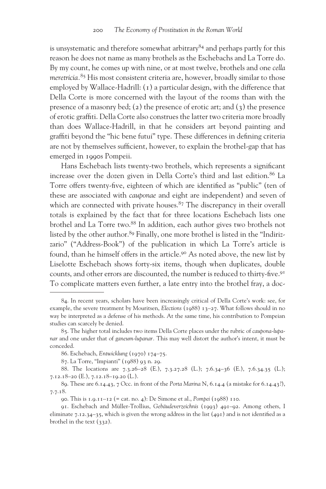is unsystematic and therefore somewhat arbitrary $84$  and perhaps partly for this reason he does not name as many brothels as the Eschebachs and La Torre do. By my count, he comes up with nine, or at most twelve, brothels and one *cella meretricia.*<sup>85</sup> His most consistent criteria are, however, broadly similar to those employed by Wallace-Hadrill: (1) a particular design, with the difference that Della Corte is more concerned with the layout of the rooms than with the presence of a masonry bed; (2) the presence of erotic art; and (3) the presence of erotic graffiti. Della Corte also construes the latter two criteria more broadly than does Wallace-Hadrill, in that he considers art beyond painting and graffiti beyond the "hic bene futui" type. These differences in defining criteria are not by themselves sufficient, however, to explain the brothel-gap that has emerged in 1990s Pompeii.

Hans Eschebach lists twenty-two brothels, which represents a significant increase over the dozen given in Della Corte's third and last edition.<sup>86</sup> La Torre offers twenty-five, eighteen of which are identified as "public" (ten of these are associated with *cauponae* and eight are independent) and seven of which are connected with private houses. $87$  The discrepancy in their overall totals is explained by the fact that for three locations Eschebach lists one brothel and La Torre two.<sup>88</sup> In addition, each author gives two brothels not listed by the other author.<sup>89</sup> Finally, one more brothel is listed in the "Indirizzario" ("Address-Book") of the publication in which La Torre's article is found, than he himself offers in the article.<sup>90</sup> As noted above, the new list by Liselotte Eschebach shows forty-six items, though when duplicates, double counts, and other errors are discounted, the number is reduced to thirty-five.<sup>91</sup> To complicate matters even further, a late entry into the brothel fray, a doc-

<sup>84.</sup> In recent years, scholars have been increasingly critical of Della Corte's work: see, for example, the severe treatment by Mouritsen, *Elections* (1988) 13–27. What follows should in no way be interpreted as a defense of his methods. At the same time, his contribution to Pompeian studies can scarcely be denied.

<sup>85.</sup> The higher total includes two items Della Corte places under the rubric of *caupona-lupanar* and one under that of *ganeum-lupanar.* This may well distort the author's intent, it must be conceded.

<sup>86.</sup> Eschebach, *Entwicklung* (1970) 174–75.

<sup>87.</sup> La Torre, "Impianti" (1988) 93 n. 29.

<sup>88.</sup> The locations are 7.3.26–28 (E.), 7.3.27.28 (L.); 7.6.34–36 (E.), 7.6.34.35 (L.); 7.12.18–20 (E.), 7.12.18–19.20 (L.).

<sup>89.</sup> These are 6.14.43, 7 Occ. in front of the *Porta Marina* N, 6.14.4 (a mistake for 6.14.43?), 7.7.18.

<sup>90.</sup> This is 1.9.11–12 (= cat. no. 4): De Simone et al., *Pompei* (1988) 110.

<sup>91.</sup> Eschebach and Müller-Trollius, *Gebäudeverzeichnis* (1993) 491–92. Among others, I eliminate 7.12.34–35, which is given the wrong address in the list  $(491)$  and is not identified as a brothel in the text (332).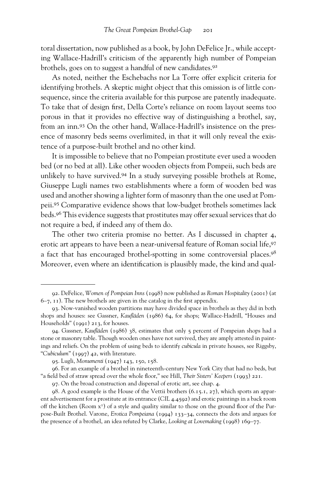toral dissertation, now published as a book, by John DeFelice Jr., while accepting Wallace-Hadrill's criticism of the apparently high number of Pompeian brothels, goes on to suggest a handful of new candidates.<sup>92</sup>

As noted, neither the Eschebachs nor La Torre offer explicit criteria for identifying brothels. A skeptic might object that this omission is of little consequence, since the criteria available for this purpose are patently inadequate. To take that of design first, Della Corte's reliance on room layout seems too porous in that it provides no effective way of distinguishing a brothel, say, from an inn.93 On the other hand, Wallace-Hadrill's insistence on the presence of masonry beds seems overlimited, in that it will only reveal the existence of a purpose-built brothel and no other kind.

It is impossible to believe that no Pompeian prostitute ever used a wooden bed (or no bed at all). Like other wooden objects from Pompeii, such beds are unlikely to have survived.94 In a study surveying possible brothels at Rome, Giuseppe Lugli names two establishments where a form of wooden bed was used and another showing a lighter form of masonry than the one used at Pompeii.95 Comparative evidence shows that low-budget brothels sometimes lack beds.96 This evidence suggests that prostitutes may offer sexual services that do not require a bed, if indeed any of them do.

The other two criteria promise no better. As I discussed in chapter 4, erotic art appears to have been a near-universal feature of Roman social life,97 a fact that has encouraged brothel-spotting in some controversial places.<sup>98</sup> Moreover, even where an identification is plausibly made, the kind and qual-

96. For an example of a brothel in nineteenth-century New York City that had no beds, but "a field bed of straw spread over the whole floor," see Hill, *Their Sisters' Keepers* (1993) 221.

97. On the broad construction and dispersal of erotic art, see chap. 4.

<sup>92.</sup> DeFelice, *Women of Pompeian Inns* (1998) now published as *Roman Hospitality* (2001) (at  $6-7$ ,  $11$ ). The new brothels are given in the catalog in the first appendix.

<sup>93.</sup> Now-vanished wooden partitions may have divided space in brothels as they did in both shops and houses: see Gassner, *Kau݊den* (1986) 64, for shops; Wallace-Hadrill, "Houses and Households" (1991) 213, for houses.

<sup>94.</sup> Gassner, *Kau݊den* (1986) 38, estimates that only 5 percent of Pompeian shops had a stone or masonry table. Though wooden ones have not survived, they are amply attested in paintings and reliefs. On the problem of using beds to identify *cubicula* in private houses, see Riggsby, "*Cubiculum*" (1997) 42, with literature.

<sup>95.</sup> Lugli, *Monumenti* (1947) 143, 150, 158.

<sup>98.</sup> A good example is the House of the Vettii brothers (6.15.1, 27), which sports an apparent advertisement for a prostitute at its entrance (*CIL* 4.4592) and erotic paintings in a back room off the kitchen (Room  $x^1$ ) of a style and quality similar to those on the ground floor of the Purpose-Built Brothel. Varone, *Erotica Pompeiana* (1994) 133–34, connects the dots and argues for the presence of a brothel, an idea refuted by Clarke, *Looking at Lovemaking* (1998) 169–77.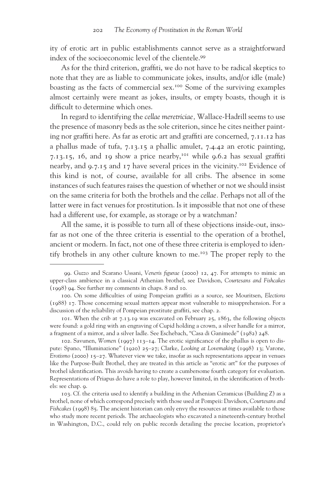ity of erotic art in public establishments cannot serve as a straightforward index of the socioeconomic level of the clientele.99

As for the third criterion, graffiti, we do not have to be radical skeptics to note that they are as liable to communicate jokes, insults, and/or idle (male) boasting as the facts of commercial sex.100 Some of the surviving examples almost certainly were meant as jokes, insults, or empty boasts, though it is difficult to determine which ones.

In regard to identifying the *cellae meretriciae,* Wallace-Hadrill seems to use the presence of masonry beds as the sole criterion, since he cites neither painting nor graffiti here. As far as erotic art and graffiti are concerned,  $7.11.12$  has a phallus made of tufa, 7.13.15 a phallic amulet, 7.4.42 an erotic painting, 7.13.15, 16, and 19 show a price nearby,<sup>101</sup> while 9.6.2 has sexual graffiti nearby, and 9.7.15 and 17 have several prices in the vicinity.<sup>102</sup> Evidence of this kind is not, of course, available for all cribs. The absence in some instances of such features raises the question of whether or not we should insist on the same criteria for both the brothels and the *cellae.* Perhaps not all of the latter were in fact venues for prostitution. Is it impossible that not one of these had a different use, for example, as storage or by a watchman?

All the same, it is possible to turn all of these objections inside-out, insofar as not one of the three criteria is essential to the operation of a brothel, ancient or modern. In fact, not one of these three criteria is employed to identify brothels in any other culture known to me.<sup>103</sup> The proper reply to the

102. Savunen, *Women* (1997) 113–14. The erotic significance of the phallus is open to dispute: Spano, "Illuminazione" (1920) 25–27; Clarke, *Looking at Lovemaking* (1998) 13; Varone, *Erotismo* (2000) 15–27. Whatever view we take, insofar as such representations appear in venues like the Purpose-Built Brothel, they are treated in this article as "erotic art" for the purposes of brothel identification. This avoids having to create a cumbersome fourth category for evaluation. Representations of Priapus do have a role to play, however limited, in the identification of brothels: see chap. 9.

103. Cf. the criteria used to identify a building in the Athenian Ceramicus (Building Z) as a brothel, none of which correspond precisely with those used at Pompeii: Davidson, *Courtesans and Fishcakes* (1998) 85. The ancient historian can only envy the resources at times available to those who study more recent periods. The archaeologists who excavated a nineteenth-century brothel in Washington, D.C., could rely on public records detailing the precise location, proprietor's

<sup>99.</sup> Guzzo and Scarano Ussani, *Veneris figurae* (2000) 12, 47. For attempts to mimic an upper-class ambience in a classical Athenian brothel, see Davidson, *Courtesans and Fishcakes* (1998) 94. See further my comments in chaps. 8 and 10.

<sup>100.</sup> On some difficulties of using Pompeian graffiti as a source, see Mouritsen, *Elections* (1988) 17. Those concerning sexual matters appear most vulnerable to misapprehension. For a discussion of the reliability of Pompeian prostitute graffiti, see chap. 2.

<sup>101.</sup> When the crib at 7.13.19 was excavated on February 25, 1863, the following objects were found: a gold ring with an engraving of Cupid holding a crown, a silver handle for a mirror, a fragment of a mirror, and a silver ladle. See Eschebach, "Casa di Ganimede" (1982) 248.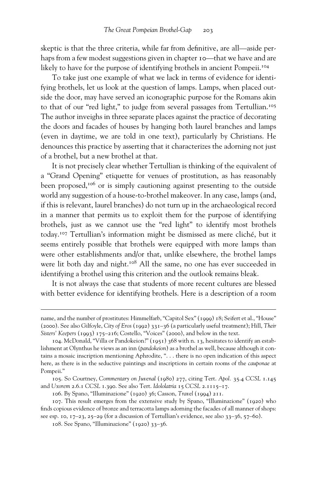skeptic is that the three criteria, while far from definitive, are all—aside perhaps from a few modest suggestions given in chapter 10—that we have and are likely to have for the purpose of identifying brothels in ancient Pompeii.<sup>104</sup>

To take just one example of what we lack in terms of evidence for identifying brothels, let us look at the question of lamps. Lamps, when placed outside the door, may have served an iconographic purpose for the Romans akin to that of our "red light," to judge from several passages from Tertullian.<sup>105</sup> The author inveighs in three separate places against the practice of decorating the doors and facades of houses by hanging both laurel branches and lamps (even in daytime, we are told in one text), particularly by Christians. He denounces this practice by asserting that it characterizes the adorning not just of a brothel, but a new brothel at that.

It is not precisely clear whether Tertullian is thinking of the equivalent of a "Grand Opening" etiquette for venues of prostitution, as has reasonably been proposed,<sup>106</sup> or is simply cautioning against presenting to the outside world any suggestion of a house-to-brothel makeover. In any case, lamps (and, if this is relevant, laurel branches) do not turn up in the archaeological record in a manner that permits us to exploit them for the purpose of identifying brothels, just as we cannot use the "red light" to identify most brothels today.107 Tertullian's information might be dismissed as mere cliché, but it seems entirely possible that brothels were equipped with more lamps than were other establishments and/or that, unlike elsewhere, the brothel lamps were lit both day and night.<sup>108</sup> All the same, no one has ever succeeded in identifying a brothel using this criterion and the outlook remains bleak.

It is not always the case that students of more recent cultures are blessed with better evidence for identifying brothels. Here is a description of a room

106. By Spano, "Illuminazione" (1920) 36; Casson, *Travel* (1994) 211.

name, and the number of prostitutes: Himmelfarb, "Capitol Sex" (1999) 18; Seifert et al., "House" (2000). See also Gilfoyle, *City of Eros* (1992) 331–36 (a particularly useful treatment); Hill, *Their Sisters' Keepers* (1993) 175–216; Costello, "Voices" (2000), and below in the text.

<sup>104.</sup> McDonald, "Villa or Pandokeion?" (1951) 368 with n. 13, hesitates to identify an establishment at Olynthus he views as an inn (*pandokeion*) as a brothel as well, because although it contains a mosaic inscription mentioning Aphrodite, ". . . there is no open indication of this aspect here, as there is in the seductive paintings and inscriptions in certain rooms of the *cauponae* at Pompeii."

<sup>105.</sup> So Courtney, *Commentary on Juvenal* (1980) 277, citing Tert. *Apol.* 35.4 *CCSL* 1.145 and *Uxorem* 2.6.1 *CCSL* 1.390. See also Tert. *Idololatria* 15 *CCSL* 2.1115–17.

<sup>107.</sup> This result emerges from the extensive study by Spano, "Illuminazione" (1920) who finds copious evidence of bronze and terracotta lamps adorning the facades of all manner of shops: see esp. 10, 17–23, 25–29 (for a discussion of Tertullian's evidence, see also 33–36, 57–60).

<sup>108.</sup> See Spano, "Illuminazione" (1920) 33–36.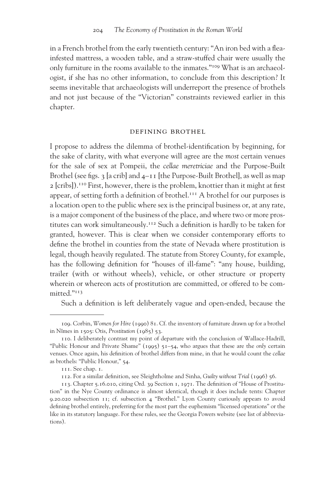in a French brothel from the early twentieth century: "An iron bed with a fleainfested mattress, a wooden table, and a straw-stuffed chair were usually the only furniture in the rooms available to the inmates."109 What is an archaeologist, if she has no other information, to conclude from this description? It seems inevitable that archaeologists will underreport the presence of brothels and not just because of the "Victorian" constraints reviewed earlier in this chapter.

#### defining brothel

I propose to address the dilemma of brothel-identification by beginning, for the sake of clarity, with what everyone will agree are the *most* certain venues for the sale of sex at Pompeii, the *cellae meretriciae* and the Purpose-Built Brothel (see figs. 3 [a crib] and  $4$ –11 [the Purpose-Built Brothel], as well as map  $2$  [cribs]).<sup>110</sup> First, however, there is the problem, knottier than it might at first appear, of setting forth a definition of brothel.<sup>111</sup> A brothel for our purposes is a location open to the public where sex is the principal business or, at any rate, is a major component of the business of the place, and where two or more prostitutes can work simultaneously.<sup>112</sup> Such a definition is hardly to be taken for granted, however. This is clear when we consider contemporary efforts to define the brothel in counties from the state of Nevada where prostitution is legal, though heavily regulated. The statute from Storey County, for example, has the following definition for "houses of ill-fame": "any house, building, trailer (with or without wheels), vehicle, or other structure or property wherein or whereon acts of prostitution are committed, or offered to be committed."<sup>113</sup>

Such a definition is left deliberately vague and open-ended, because the

<sup>109.</sup> Corbin, *Women for Hire* (1990) 81. Cf. the inventory of furniture drawn up for a brothel in Nîmes in 1505: Otis, *Prostitution* (1985) 53.

<sup>110.</sup> I deliberately contrast my point of departure with the conclusion of Wallace-Hadrill, "Public Honour and Private Shame" (1995) 51–54, who argues that these are the *only* certain venues. Once again, his definition of brothel differs from mine, in that he would count the *cellae* as brothels: "Public Honour," 54.

<sup>111.</sup> See chap. 1.

<sup>112.</sup> For a similar de‹nition, see Sleightholme and Sinha, *Guilty without Trial* (1996) 56.

<sup>113.</sup> Chapter 5.16.010, citing Ord. 39 Section 1, 1971. The definition of "House of Prostitution" in the Nye County ordinance is almost identical, though it does include tents: Chapter 9.20.020 subsection 11; cf. subsection 4 "Brothel." Lyon County curiously appears to avoid defining brothel entirely, preferring for the most part the euphemism "licensed operations" or the like in its statutory language. For these rules, see the Georgia Powers website (see list of abbreviations).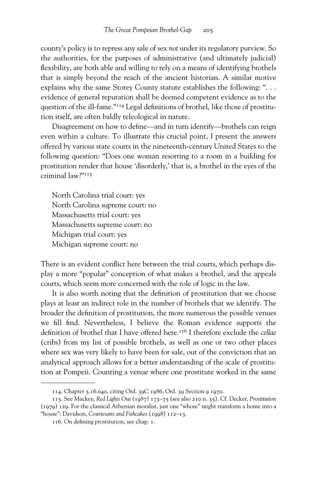county's policy is to repress any sale of sex *not* under its regulatory purview. So the authorities, for the purposes of administrative (and ultimately judicial) flexibility, are both able and willing to rely on a means of identifying brothels that is simply beyond the reach of the ancient historian. A similar motive explains why the same Storey County statute establishes the following: ". . . evidence of general reputation shall be deemed competent evidence as to the question of the ill-fame."<sup>114</sup> Legal definitions of brothel, like those of prostitution itself, are often baldly teleological in nature.

Disagreement on how to define—and in turn identify—brothels can reign even within a culture. To illustrate this crucial point, I present the answers offered by various state courts in the nineteenth-century United States to the following question: "Does one woman resorting to a room in a building for prostitution render that house 'disorderly,' that is, a brothel in the eyes of the criminal law?"115

North Carolina trial court: yes North Carolina supreme court: no Massachusetts trial court: yes Massachusetts supreme court: no Michigan trial court: yes Michigan supreme court: no

There is an evident conflict here between the trial courts, which perhaps display a more "popular" conception of what makes a brothel, and the appeals courts, which seem more concerned with the role of logic in the law.

It is also worth noting that the definition of prostitution that we choose plays at least an indirect role in the number of brothels that we identify. The broader the definition of prostitution, the more numerous the possible venues we fill find. Nevertheless, I believe the Roman evidence supports the definition of brothel that I have offered here.<sup>116</sup> I therefore exclude the *cellae* (cribs) from my list of possible brothels, as well as one or two other places where sex was very likely to have been for sale, out of the conviction that an analytical approach allows for a better understanding of the scale of prostitution at Pompeii. Counting a venue where one prostitute worked in the same

<sup>114.</sup> Chapter 5.16.040, citing Ord. 39C 1986, Ord. 39 Section 9 1970.

<sup>115.</sup> See Mackey, *Red Lights Out* (1987) 173–75 (see also 210 n. 35). Cf. Decker, *Prostitution* (1979) 129. For the classical Athenian moralist, just one "whore" might transform a home into a "house": Davidson, *Courtesans and Fishcakes* (1998) 112–13.

<sup>116.</sup> On defining prostitution, see chap. 1.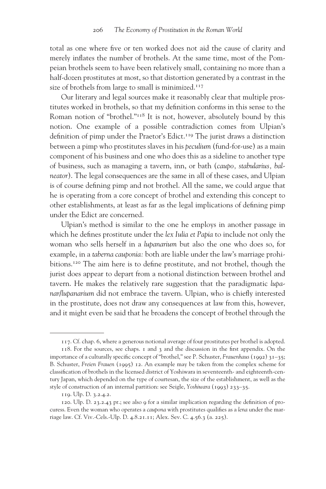total as one where five or ten worked does not aid the cause of clarity and merely inflates the number of brothels. At the same time, most of the Pompeian brothels seem to have been relatively small, containing no more than a half-dozen prostitutes at most, so that distortion generated by a contrast in the size of brothels from large to small is minimized.<sup>117</sup>

Our literary and legal sources make it reasonably clear that multiple prostitutes worked in brothels, so that my definition conforms in this sense to the Roman notion of "brothel."<sup>118</sup> It is not, however, absolutely bound by this notion. One example of a possible contradiction comes from Ulpian's definition of pimp under the Praetor's Edict.<sup>119</sup> The jurist draws a distinction between a pimp who prostitutes slaves in his *peculium* (fund-for-use) as a main component of his business and one who does this as a sideline to another type of business, such as managing a tavern, inn, or bath (*caupo, stabularius, balneator*). The legal consequences are the same in all of these cases, and Ulpian is of course defining pimp and not brothel. All the same, we could argue that he is operating from a core concept of brothel and extending this concept to other establishments, at least as far as the legal implications of defining pimp under the Edict are concerned.

Ulpian's method is similar to the one he employs in another passage in which he defines prostitute under the *lex Iulia et Papia* to include not only the woman who sells herself in a *lupanarium* but also the one who does so, for example, in a *taberna cauponia:* both are liable under the law's marriage prohibitions.<sup>120</sup> The aim here is to define prostitute, and not brothel, though the jurist does appear to depart from a notional distinction between brothel and tavern. He makes the relatively rare suggestion that the paradigmatic *lupanar/lupanarium* did not embrace the tavern. Ulpian, who is chiefly interested in the prostitute, does not draw any consequences at law from this, however, and it might even be said that he broadens the concept of brothel through the

119. Ulp. D. 3.2.4.2.

<sup>117.</sup> Cf. chap. 6, where a generous notional average of four prostitutes per brothel is adopted.

 $118$ . For the sources, see chaps. 1 and 3 and the discussion in the first appendix. On the importance of a culturally specific concept of "brothel," see P. Schuster, *Frauenhaus* (1992) 31–35; B. Schuster, *Freien Frauen* (1995) 12. An example may be taken from the complex scheme for classification of brothels in the licensed district of Yoshiwara in seventeenth- and eighteenth-century Japan, which depended on the type of courtesan, the size of the establishment, as well as the style of construction of an internal partition: see Seigle, *Yoshiwara* (1993) 233–35.

<sup>120.</sup> Ulp. D. 23.2.43 pr.; see also 9 for a similar implication regarding the definition of procuress. Even the woman who operates a *caupona* with prostitutes qualifies as a *lena* under the marriage law. Cf. Viv.-Cels.-Ulp. D. 4.8.21.11; Alex. Sev. C. 4.56.3 (a. 225).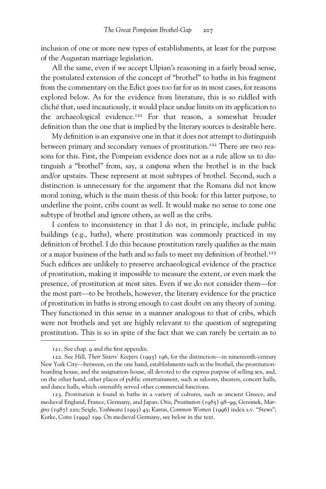inclusion of one or more new types of establishments, at least for the purpose of the Augustan marriage legislation.

All the same, even if we accept Ulpian's reasoning in a fairly broad sense, the postulated extension of the concept of "brothel" to baths in his fragment from the commentary on the Edict goes too far for us in most cases, for reasons explored below. As for the evidence from literature, this is so riddled with cliché that, used incautiously, it would place undue limits on its application to the archaeological evidence.121 For that reason, a somewhat broader definition than the one that is implied by the literary sources is desirable here.

My definition is an expansive one in that it does not attempt to distinguish between primary and secondary venues of prostitution.<sup>122</sup> There are two reasons for this. First, the Pompeian evidence does not as a rule allow us to distinguish a "brothel" from, say, a *caupona* when the brothel is in the back and/or upstairs. These represent at most subtypes of brothel. Second, such a distinction is unnecessary for the argument that the Romans did not know moral zoning, which is the main thesis of this book: for this latter purpose, to underline the point, cribs count as well. It would make no sense to zone one subtype of brothel and ignore others, as well as the cribs.

I confess to inconsistency in that I do not, in principle, include public buildings (e.g., baths), where prostitution was commonly practiced in my definition of brothel. I do this because prostitution rarely qualifies as the main or a major business of the bath and so fails to meet my definition of brothel.<sup>123</sup> Such edifices are unlikely to preserve archaeological evidence of the practice of prostitution, making it impossible to measure the extent, or even mark the presence, of prostitution at most sites. Even if we do not consider them—for the most part—to be brothels, however, the literary evidence for the practice of prostitution in baths is strong enough to cast doubt on any theory of zoning. They functioned in this sense in a manner analogous to that of cribs, which were not brothels and yet are highly relevant to the question of segregating prostitution. This is so in spite of the fact that we can rarely be certain as to

<sup>121.</sup> See chap. 9 and the first appendix.

<sup>122.</sup> See Hill, *Their Sisters' Keepers* (1993) 196, for the distinction—in nineteenth-century New York City—between, on the one hand, establishments such as the brothel, the prostitutionboarding house, and the assignation-house, all devoted to the express purpose of selling sex, and, on the other hand, other places of public entertainment, such as saloons, theaters, concert halls, and dance halls, which ostensibly served other commercial functions.

<sup>123.</sup> Prostitution is found in baths in a variety of cultures, such as ancient Greece, and medieval England, France, Germany, and Japan: Otis, *Prostitution* (1985) 98–99; Geremek, *Margins* (1987) 220; Seigle, *Yoshiwara* (1993) 45; Karras, *Common Women* (1996) index s.v. "Stews"; Kurke, *Coins* (1999) 199. On medieval Germany, see below in the text.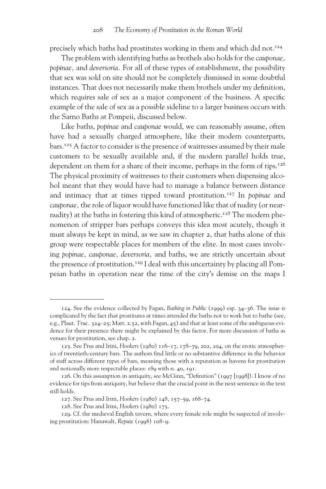precisely which baths had prostitutes working in them and which did not.<sup>124</sup>

The problem with identifying baths as brothels also holds for the *cauponae, popinae,* and *deversoria.* For all of these types of establishment, the possibility that sex was sold on site should not be completely dismissed in some doubtful instances. That does not necessarily make them brothels under my definition, which requires sale of sex as a major component of the business. A specific example of the sale of sex as a possible sideline to a larger business occurs with the Sarno Baths at Pompeii, discussed below.

Like baths, *popinae* and *cauponae* would, we can reasonably assume, often have had a sexually charged atmosphere, like their modern counterparts, bars.125 A factor to consider is the presence of waitresses assumed by their male customers to be sexually available and, if the modern parallel holds true, dependent on them for a share of their income, perhaps in the form of tips.<sup>126</sup> The physical proximity of waitresses to their customers when dispensing alcohol meant that they would have had to manage a balance between distance and intimacy that at times tipped toward prostitution.127 In *popinae* and *cauponae,* the role of liquor would have functioned like that of nudity (or nearnudity) at the baths in fostering this kind of atmospheric.<sup>128</sup> The modern phenomenon of stripper bars perhaps conveys this idea most acutely, though it must always be kept in mind, as we saw in chapter 2, that baths alone of this group were respectable places for members of the elite. In most cases involving *popinae, cauponae, deversoria,* and baths, we are strictly uncertain about the presence of prostitution.<sup>129</sup> I deal with this uncertainty by placing all Pompeian baths in operation near the time of the city's demise on the maps I

<sup>124.</sup> See the evidence collected by Fagan, *Bathing in Public* (1999) esp. 34–36. The issue is complicated by the fact that prostitutes at times attended the baths not to work but to bathe (see, e.g., Plaut. *Truc.* 324–25; Mart. 2.52, with Fagan, 45) and that at least some of the ambiguous evidence for their presence there might be explained by this factor. For more discussion of baths as venues for prostitution, see chap. 2.

<sup>125.</sup> See Prus and Irini, *Hookers* (1980) 116–17, 178–79, 202, 204, on the erotic atmospherics of twentieth-century bars. The authors find little or no substantive difference in the behavior of staff across different types of bars, meaning those with a reputation as havens for prostitution and notionally more respectable places: 189 with n. 40, 191.

 $126$ . On this assumption in antiquity, see McGinn, "Definition" ( $1997$  [ $1998$ ]). I know of no evidence for tips from antiquity, but believe that the crucial point in the next sentence in the text still holds.

<sup>127.</sup> See Prus and Irini, *Hookers* (1980) 148, 157–59, 168–74.

<sup>128.</sup> See Prus and Irini, *Hookers* (1980) 175.

<sup>129.</sup> Cf. the medieval English tavern, where every female role might be suspected of involving prostitution: Hanawalt, *Repute* (1998) 108–9.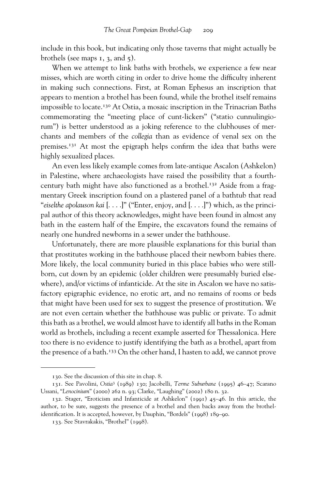include in this book, but indicating only those taverns that might actually be brothels (see maps  $1, 3$ , and  $5$ ).

When we attempt to link baths with brothels, we experience a few near misses, which are worth citing in order to drive home the difficulty inherent in making such connections. First, at Roman Ephesus an inscription that appears to mention a brothel has been found, while the brothel itself remains impossible to locate.<sup>130</sup> At Ostia, a mosaic inscription in the Trinacrian Baths commemorating the "meeting place of cunt-lickers" ("statio cunnulingiorum") is better understood as a joking reference to the clubhouses of merchants and members of the *collegia* than as evidence of venal sex on the premises.<sup>131</sup> At most the epigraph helps confirm the idea that baths were highly sexualized places.

An even less likely example comes from late-antique Ascalon (Ashkelon) in Palestine, where archaeologists have raised the possibility that a fourthcentury bath might have also functioned as a brothel.<sup>132</sup> Aside from a fragmentary Greek inscription found on a plastered panel of a bathtub that read "*eiselthe apolauson kai* [. . . .]" ("Enter, enjoy, and [. . . .]") which, as the principal author of this theory acknowledges, might have been found in almost any bath in the eastern half of the Empire, the excavators found the remains of nearly one hundred newborns in a sewer under the bathhouse.

Unfortunately, there are more plausible explanations for this burial than that prostitutes working in the bathhouse placed their newborn babies there. More likely, the local community buried in this place babies who were stillborn, cut down by an epidemic (older children were presumably buried elsewhere), and/or victims of infanticide. At the site in Ascalon we have no satisfactory epigraphic evidence, no erotic art, and no remains of rooms or beds that might have been used for sex to suggest the presence of prostitution. We are not even certain whether the bathhouse was public or private. To admit this bath as a brothel, we would almost have to identify all baths in the Roman world as brothels, including a recent example asserted for Thessalonica. Here too there is no evidence to justify identifying the bath as a brothel, apart from the presence of a bath.133 On the other hand, I hasten to add, we cannot prove

<sup>130.</sup> See the discussion of this site in chap. 8.

<sup>131.</sup> See Pavolini, *Ostia*<sup>3</sup> (1989) 130; Jacobelli, *Terme Suburbane* (1995) 46–47; Scarano Ussani, "*Lenocinium*" (2000) 262 n. 93; Clarke, "Laughing" (2002) 180 n. 32.

<sup>132.</sup> Stager, "Eroticism and Infanticide at Ashkelon" (1991) 45–46. In this article, the author, to be sure, suggests the presence of a brothel and then backs away from the brothelidentification. It is accepted, however, by Dauphin, "Bordels" (1998) 189–90.

<sup>133.</sup> See Stavrakakis, "Brothel" (1998).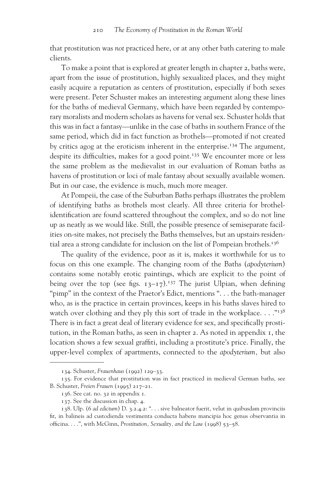that prostitution was *not* practiced here, or at any other bath catering to male clients.

To make a point that is explored at greater length in chapter 2, baths were, apart from the issue of prostitution, highly sexualized places, and they might easily acquire a reputation as centers of prostitution, especially if both sexes were present. Peter Schuster makes an interesting argument along these lines for the baths of medieval Germany, which have been regarded by contemporary moralists and modern scholars as havens for venal sex. Schuster holds that this was in fact a fantasy—unlike in the case of baths in southern France of the same period, which did in fact function as brothels—promoted if not created by critics agog at the eroticism inherent in the enterprise.<sup>134</sup> The argument, despite its difficulties, makes for a good point.<sup>135</sup> We encounter more or less the same problem as the medievalist in our evaluation of Roman baths as havens of prostitution or loci of male fantasy about sexually available women. But in our case, the evidence is much, much more meager.

At Pompeii, the case of the Suburban Baths perhaps illustrates the problem of identifying baths as brothels most clearly. All three criteria for brothelidentification are found scattered throughout the complex, and so do not line up as neatly as we would like. Still, the possible presence of semiseparate facilities on-site makes, not precisely the Baths themselves, but an upstairs residential area a strong candidate for inclusion on the list of Pompeian brothels.<sup>136</sup>

The quality of the evidence, poor as it is, makes it worthwhile for us to focus on this one example. The changing room of the Baths (*apodyterium*) contains some notably erotic paintings, which are explicit to the point of being over the top (see figs.  $13-17$ ).<sup>137</sup> The jurist Ulpian, when defining "pimp" in the context of the Praetor's Edict, mentions ". . . the bath-manager who, as is the practice in certain provinces, keeps in his baths slaves hired to watch over clothing and they ply this sort of trade in the workplace.  $\dots$ <sup>138</sup> There is in fact a great deal of literary evidence for sex, and specifically prostitution, in the Roman baths, as seen in chapter 2. As noted in appendix 1, the location shows a few sexual graffiti, including a prostitute's price. Finally, the upper-level complex of apartments, connected to the *apodyterium,* but also

<sup>134.</sup> Schuster, *Frauenhaus* (1992) 129–33.

<sup>135.</sup> For evidence that prostitution was in fact practiced in medieval German baths, see B. Schuster, *Freien Frauen* (1995) 217–21.

<sup>136.</sup> See cat. no. 32 in appendix 1.

<sup>137.</sup> See the discussion in chap. 4.

<sup>138.</sup> Ulp. (6 *ad edictum*) D. 3.2.4.2: ". . . sive balneator fuerit, velut in quibusdam provinciis fit, in balineis ad custodienda vestimenta conducta habens mancipia hoc genus observantia in officina. . . .", with McGinn, *Prostitution, Sexuality, and the Law* (1998) 53–58.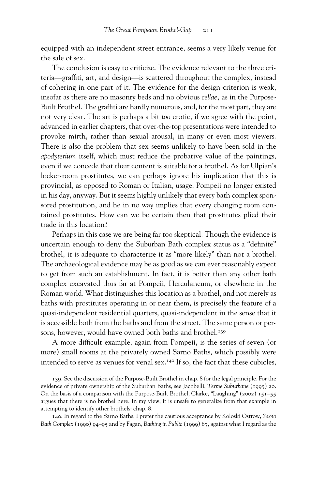equipped with an independent street entrance, seems a very likely venue for the sale of sex.

The conclusion is easy to criticize. The evidence relevant to the three criteria—graffiti, art, and design—is scattered throughout the complex, instead of cohering in one part of it. The evidence for the design-criterion is weak, insofar as there are no masonry beds and no obvious *cellae,* as in the Purpose-Built Brothel. The graffiti are hardly numerous, and, for the most part, they are not very clear. The art is perhaps a bit *too* erotic, if we agree with the point, advanced in earlier chapters, that over-the-top presentations were intended to provoke mirth, rather than sexual arousal, in many or even most viewers. There is also the problem that sex seems unlikely to have been sold in the *apodyterium* itself, which must reduce the probative value of the paintings, even if we concede that their content is suitable for a brothel. As for Ulpian's locker-room prostitutes, we can perhaps ignore his implication that this is provincial, as opposed to Roman or Italian, usage. Pompeii no longer existed in his day, anyway. But it seems highly unlikely that every bath complex sponsored prostitution, and he in no way implies that every changing room contained prostitutes. How can we be certain then that prostitutes plied their trade in this location?

Perhaps in this case we are being far too skeptical. Though the evidence is uncertain enough to deny the Suburban Bath complex status as a "definite" brothel, it is adequate to characterize it as "more likely" than not a brothel. The archaeological evidence may be as good as we can ever reasonably expect to get from such an establishment. In fact, it is better than any other bath complex excavated thus far at Pompeii, Herculaneum, or elsewhere in the Roman world. What distinguishes this location as a brothel, and not merely as baths with prostitutes operating in or near them, is precisely the feature of a quasi-independent residential quarters, quasi-independent in the sense that it is accessible both from the baths and from the street. The same person or persons, however, would have owned both baths and brothel.<sup>139</sup>

A more difficult example, again from Pompeii, is the series of seven (or more) small rooms at the privately owned Sarno Baths, which possibly were intended to serve as venues for venal sex.<sup>140</sup> If so, the fact that these cubicles,

<sup>139.</sup> See the discussion of the Purpose-Built Brothel in chap. 8 for the legal principle. For the evidence of private ownership of the Suburban Baths, see Jacobelli, *Terme Suburbane* (1995) 20. On the basis of a comparison with the Purpose-Built Brothel, Clarke, "Laughing" (2002) 151–55 argues that there is no brothel here. In my view, it is unsafe to generalize from that example in attempting to identify other brothels: chap. 8.

<sup>140.</sup> In regard to the Sarno Baths, I prefer the cautious acceptance by Koloski Ostrow, *Sarno Bath Complex* (1990) 94–95 and by Fagan, *Bathing in Public* (1999) 67, against what I regard as the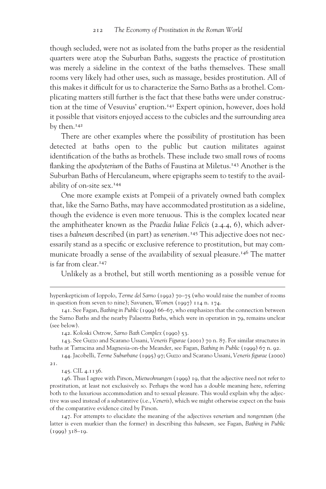though secluded, were not as isolated from the baths proper as the residential quarters were atop the Suburban Baths, suggests the practice of prostitution was merely a sideline in the context of the baths themselves. These small rooms very likely had other uses, such as massage, besides prostitution. All of this makes it difficult for us to characterize the Sarno Baths as a brothel. Complicating matters still further is the fact that these baths were under construction at the time of Vesuvius' eruption.<sup>141</sup> Expert opinion, however, does hold it possible that visitors enjoyed access to the cubicles and the surrounding area by then.142

There are other examples where the possibility of prostitution has been detected at baths open to the public but caution militates against identification of the baths as brothels. These include two small rows of rooms flanking the *apodyterium* of the Baths of Faustina at Miletus.<sup>143</sup> Another is the Suburban Baths of Herculaneum, where epigraphs seem to testify to the availability of on-site sex.144

One more example exists at Pompeii of a privately owned bath complex that, like the Sarno Baths, may have accommodated prostitution as a sideline, though the evidence is even more tenuous. This is the complex located near the amphitheater known as the *Praedia Iuliae Felicis* (2.4.4, 6), which advertises a *balneum* described (in part) as *venerium.*<sup>145</sup> This adjective does not necessarily stand as a specific or exclusive reference to prostitution, but may communicate broadly a sense of the availability of sexual pleasure.<sup>146</sup> The matter is far from clear.147

Unlikely as a brothel, but still worth mentioning as a possible venue for

142. Koloski Ostrow, *Sarno Bath Complex* (1990) 53.

143. See Guzzo and Scarano Ussani, *Veneris Figurae* (2001) 70 n. 87. For similar structures in baths at Tarracina and Magnesia-on-the Meander, see Fagan, *Bathing in Public* (1999) 67 n. 92.

144. Jacobelli, *Terme Suburbane* (1995) 97; Guzzo and Scarano Ussani, *Veneris figurae* (2000) 21.

145. *CIL* 4.1136.

146. Thus I agree with Pirson, *Mietwohnungen* (1999) 19, that the adjective need not refer to prostitution, at least not exclusively so. Perhaps the word has a double meaning here, referring both to the luxurious accommodation and to sexual pleasure. This would explain why the adjective was used instead of a substantive (i.e., *Veneris*), which we might otherwise expect on the basis of the comparative evidence cited by Pirson.

147. For attempts to elucidate the meaning of the adjectives *venerium* and *nongentum* (the latter is even murkier than the former) in describing this *balneum,* see Fagan, *Bathing in Public*  $(1999)$  318–19.

hyperskepticism of Ioppolo, *Terme del Sarno* (1992) 70–75 (who would raise the number of rooms in question from seven to nine); Savunen, *Women* (1997) 114 n. 174.

<sup>141.</sup> See Fagan, *Bathing in Public* (1999) 66–67, who emphasizes that the connection between the Sarno Baths and the nearby Palaestra Baths, which were in operation in 79, remains unclear (see below).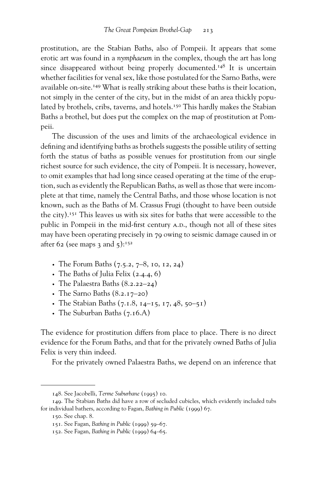prostitution, are the Stabian Baths, also of Pompeii. It appears that some erotic art was found in a *nymphaeum* in the complex, though the art has long since disappeared without being properly documented.<sup>148</sup> It is uncertain whether facilities for venal sex, like those postulated for the Sarno Baths, were available on-site.<sup>149</sup> What is really striking about these baths is their location, not simply in the center of the city, but in the midst of an area thickly populated by brothels, cribs, taverns, and hotels.<sup>150</sup> This hardly makes the Stabian Baths a brothel, but does put the complex on the map of prostitution at Pompeii.

The discussion of the uses and limits of the archaeological evidence in defining and identifying baths as brothels suggests the possible utility of setting forth the status of baths as possible venues for prostitution from our single richest source for such evidence, the city of Pompeii. It is necessary, however, to omit examples that had long since ceased operating at the time of the eruption, such as evidently the Republican Baths, as well as those that were incomplete at that time, namely the Central Baths, and those whose location is not known, such as the Baths of M. Crassus Frugi (thought to have been outside the city).<sup>151</sup> This leaves us with six sites for baths that were accessible to the public in Pompeii in the mid-first century A.D., though not all of these sites may have been operating precisely in 79 owing to seismic damage caused in or after 62 (see maps 3 and  $5$ ):<sup>152</sup>

- The Forum Baths  $(7.5.2, 7-8, 10, 12, 24)$
- The Baths of Julia Felix (2.4.4, 6)
- The Palaestra Baths (8.2.22–24)
- The Sarno Baths (8.2.17–20)
- The Stabian Baths (7.1.8, 14–15, 17, 48, 50–51)
- The Suburban Baths (7.16.A)

The evidence for prostitution differs from place to place. There is no direct evidence for the Forum Baths, and that for the privately owned Baths of Julia Felix is very thin indeed.

For the privately owned Palaestra Baths, we depend on an inference that

<sup>148.</sup> See Jacobelli, *Terme Suburbane* (1995) 10.

<sup>149.</sup> The Stabian Baths did have a row of secluded cubicles, which evidently included tubs for individual bathers, according to Fagan, *Bathing in Public* (1999) 67.

<sup>150.</sup> See chap. 8.

<sup>151.</sup> See Fagan, *Bathing in Public* (1999) 59–67.

<sup>152.</sup> See Fagan, *Bathing in Public* (1999) 64–65.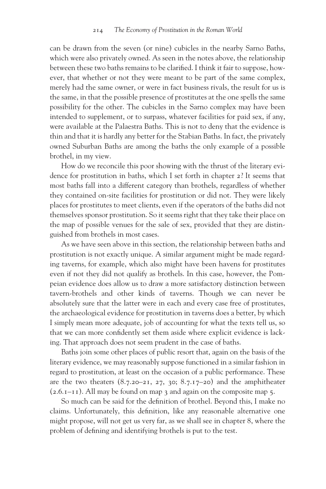can be drawn from the seven (or nine) cubicles in the nearby Sarno Baths, which were also privately owned. As seen in the notes above, the relationship between these two baths remains to be clarified. I think it fair to suppose, however, that whether or not they were meant to be part of the same complex, merely had the same owner, or were in fact business rivals, the result for us is the same, in that the possible presence of prostitutes at the one spells the same possibility for the other. The cubicles in the Sarno complex may have been intended to supplement, or to surpass, whatever facilities for paid sex, if any, were available at the Palaestra Baths. This is not to deny that the evidence is thin and that it is hardly any better for the Stabian Baths. In fact, the privately owned Suburban Baths are among the baths the only example of a possible brothel, in my view.

How do we reconcile this poor showing with the thrust of the literary evidence for prostitution in baths, which I set forth in chapter 2? It seems that most baths fall into a different category than brothels, regardless of whether they contained on-site facilities for prostitution or did not. They were likely places for prostitutes to meet clients, even if the operators of the baths did not themselves sponsor prostitution. So it seems right that they take their place on the map of possible venues for the sale of sex, provided that they are distinguished from brothels in most cases.

As we have seen above in this section, the relationship between baths and prostitution is not exactly unique. A similar argument might be made regarding taverns, for example, which also might have been havens for prostitutes even if not they did not qualify as brothels. In this case, however, the Pompeian evidence does allow us to draw a more satisfactory distinction between tavern-brothels and other kinds of taverns. Though we can never be absolutely sure that the latter were in each and every case free of prostitutes, the archaeological evidence for prostitution in taverns does a better, by which I simply mean more adequate, job of accounting for what the texts tell us, so that we can more confidently set them aside where explicit evidence is lacking. That approach does not seem prudent in the case of baths.

Baths join some other places of public resort that, again on the basis of the literary evidence, we may reasonably suppose functioned in a similar fashion in regard to prostitution, at least on the occasion of a public performance. These are the two theaters  $(8.7.20-21, 27, 30; 8.7.17-20)$  and the amphitheater  $(2.6.1 - I)$ . All may be found on map 3 and again on the composite map 5.

So much can be said for the definition of brothel. Beyond this, I make no claims. Unfortunately, this definition, like any reasonable alternative one might propose, will not get us very far, as we shall see in chapter 8, where the problem of defining and identifying brothels is put to the test.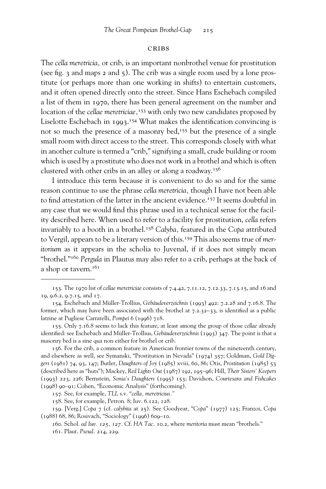#### cribs

The *cella meretricia,* or crib, is an important nonbrothel venue for prostitution (see fig. 3 and maps 2 and 5). The crib was a single room used by a lone prostitute (or perhaps more than one working in shifts) to entertain customers, and it often opened directly onto the street. Since Hans Eschebach compiled a list of them in 1970, there has been general agreement on the number and location of the *cellae meretriciae,*<sup>153</sup> with only two new candidates proposed by Liselotte Eschebach in 1993.<sup>154</sup> What makes the identification convincing is not so much the presence of a masonry bed,<sup>155</sup> but the presence of a single small room with direct access to the street. This corresponds closely with what in another culture is termed a "crib," signifying a small, crude building or room which is used by a prostitute who does not work in a brothel and which is often clustered with other cribs in an alley or along a roadway.<sup>156</sup>

I introduce this term because it is convenient to do so and for the same reason continue to use the phrase *cella meretricia,* though I have not been able to find attestation of the latter in the ancient evidence.<sup>157</sup> It seems doubtful in any case that we would find this phrase used in a technical sense for the facility described here. When used to refer to a facility for prostitution, *cella* refers invariably to a booth in a brothel.158 *Calyba,* featured in the *Copa* attributed to Vergil, appears to be a literary version of this.159 This also seems true of *meritorium* as it appears in the scholia to Juvenal, if it does not simply mean "brothel."160 *Pergula* in Plautus may also refer to a crib, perhaps at the back of a shop or tavern.<sup>161</sup>

156. For the crib, a common feature in American frontier towns of the nineteenth century, and elsewhere as well, see Symanski, "Prostitution in Nevada" (1974) 357; Goldman, *Gold Diggers* (1981) 74, 93, 147; Butler, *Daughters of Joy* (1985) xviii, 60, 86; Otis, *Prostitution* (1985) 53 (described here as "huts"); Mackey, *Red Lights Out* (1987) 192, 195–96; Hill, *Their Sisters' Keepers* (1993) 223, 226; Bernstein, *Sonia's Daughters* (1995) 153; Davidson, *Courtesans and Fishcakes* (1998) 90–91; Cohen, "Economic Analysis" (forthcoming).

157. See, for example, *TLL* s.v. "*cella, meretricius."*

<sup>153.</sup> The 1970 list of *cellae meretriciae* consists of 7.4.42, 7.11.12, 7.12.33, 7.13.15, and 16 and 19, 9.6.2, 9.7.15, and 17.

<sup>154.</sup> Eschebach and Müller-Trollius, *Gebäudeverzeichnis* (1993) 492: 7.2.28 and 7.16.8. The former, which may have been associated with the brothel at  $7.2.32-33$ , is identified as a public latrine at Pugliese Carratelli, *Pompei 6* (1996) 718.

<sup>155.</sup> Only 7.16.8 seems to lack this feature, at least among the group of those *cellae* already identified: see Eschebach and Müller-Trollius, *Gebäudeverzeichnis* (1993) 347. The point is that a masonry bed is a sine qua non either for brothel or crib.

<sup>158.</sup> See, for example, Petron. 8; Iuv. 6.122, 128.

<sup>159. [</sup>Verg.] *Copa* 7 (cf. *calybita* at 25). See Goodyear, "*Copa*" (1977) 125; Franzoi, *Copa* (1988) 68, 86; Rosivach, "Sociology" (1996) 609–10.

<sup>160.</sup> Schol. *ad Iuv. 125, 127.* Cf. *HA Tac.* 10.2, where *meritoria* must mean "brothels." 161. Plaut. *Pseud.* 214, 229.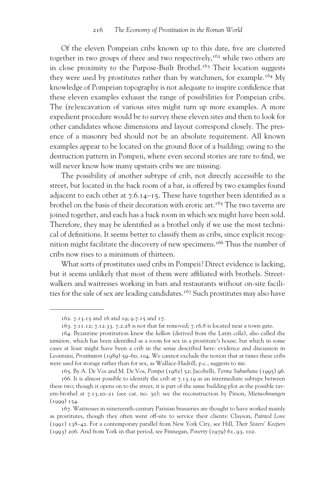Of the eleven Pompeian cribs known up to this date, five are clustered together in two groups of three and two respectively,<sup>162</sup> while two others are in close proximity to the Purpose-Built Brothel.<sup>163</sup> Their location suggests they were used by prostitutes rather than by watchmen, for example.<sup>164</sup> My knowledge of Pompeian topography is not adequate to inspire confidence that these eleven examples exhaust the range of possibilities for Pompeian cribs. The (re)excavation of various sites might turn up more examples. A more expedient procedure would be to survey these eleven sites and then to look for other candidates whose dimensions and layout correspond closely. The presence of a masonry bed should not be an absolute requirement. All known examples appear to be located on the ground floor of a building; owing to the destruction pattern in Pompeii, where even second stories are rare to find, we will never know how many upstairs cribs we are missing.

The possibility of another subtype of crib, not directly accessible to the street, but located in the back room of a bar, is offered by two examples found adjacent to each other at  $7.6.14 - 15$ . These have together been identified as a brothel on the basis of their decoration with erotic art.<sup>165</sup> The two taverns are joined together, and each has a back room in which sex might have been sold. Therefore, they may be identified as a brothel only if we use the most technical of definitions. It seems better to classify them as cribs, since explicit recognition might facilitate the discovery of new specimens.166 Thus the number of cribs now rises to a minimum of thirteen.

What sorts of prostitutes used cribs in Pompeii? Direct evidence is lacking, but it seems unlikely that most of them were affiliated with brothels. Streetwalkers and waitresses working in bars and restaurants without on-site facilities for the sale of sex are leading candidates.<sup>167</sup> Such prostitutes may also have

<sup>162. 7.13.15</sup> and 16 and 19; 9.7.15 and 17.

<sup>163. 7.11.12; 7.12.33. 7.2.28</sup> is not that far removed; 7.16.8 is located near a town gate.

<sup>164.</sup> Byzantine prostitution knew the *kellion* (derived from the Latin *cella*), also called the tamieion, which has been identified as a room for sex in a prostitute's house, but which in some cases at least might have been a crib in the sense described here: evidence and discussion in Leontsini, *Prostitution* (1989) 59–60, 104. We cannot exclude the notion that at times these cribs were used for storage rather than for sex, as Wallace-Hadrill, p.c., suggests to me.

<sup>165.</sup> By A. De Vos and M. De Vos, *Pompei* (1982) 52; Jacobelli, *Terme Suburbane* (1995) 96.

<sup>166.</sup> It is almost possible to identify the crib at 7.13.19 as an intermediate subtype between these two; though it opens on to the street, it is part of the same building plot as the possible tavern-brothel at 7.13.20–21 (see cat. no. 30): see the reconstruction by Pirson, *Mietwohnungen*  $(1999) 154.$ 

<sup>167.</sup> Waitresses in nineteenth-century Parisian brasseries are thought to have worked mainly as prostitutes, though they often went off-site to service their clients: Clayson, *Painted Love* (1991) 138–42. For a contemporary parallel from New York City, see Hill, *Their Sisters' Keepers* (1993) 206. And from York in that period, see Finnegan, *Poverty* (1979) 61, 93, 102.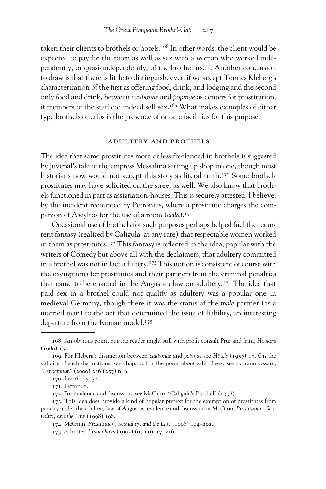taken their clients to brothels or hotels.<sup>168</sup> In other words, the client would be expected to pay for the room as well as sex with a woman who worked independently, or quasi-independently, of the brothel itself. Another conclusion to draw is that there is little to distinguish, even if we accept Tönnes Kleberg's characterization of the first as offering food, drink, and lodging and the second only food and drink, between *cauponae* and *popinae* as centers for prostitution, if members of the staff did indeed sell sex.<sup>169</sup> What makes examples of either type brothels or cribs is the presence of on-site facilities for this purpose.

### adultery and brothels

The idea that some prostitutes more or less freelanced in brothels is suggested by Juvenal's tale of the empress Messalina setting up shop in one, though most historians now would not accept this story as literal truth.<sup>170</sup> Some brothelprostitutes may have solicited on the street as well. We also know that brothels functioned in part as assignation-houses. This is securely attested, I believe, by the incident recounted by Petronius, where a prostitute charges the companion of Ascyltos for the use of a room (*cella*).171

Occasional use of brothels for such purposes perhaps helped fuel the recurrent fantasy (realized by Caligula, at any rate) that respectable women worked in them as prostitutes.<sup>172</sup> This fantasy is reflected in the idea, popular with the writers of Comedy but above all with the declaimers, that adultery committed in a brothel was not in fact adultery.<sup>173</sup> This notion is consistent of course with the exemptions for prostitutes and their partners from the criminal penalties that came to be enacted in the Augustan law on adultery.174 The idea that paid sex in a brothel could not qualify as adultery was a popular one in medieval Germany, though there it was the status of the *male* partner (as a married man) to the act that determined the issue of liability, an interesting departure from the Roman model.<sup>175</sup>

<sup>168.</sup> An obvious point, but the reader might still with profit consult Prus and Irini, *Hookers*  $(1980)$  15.

<sup>169.</sup> For Kleberg's distinction between *cauponae* and *popinae* see *Hôtels* (1957) 17. On the validity of such distinctions, see chap. 2. For the point about sale of sex, see Scarano Ussani, "*Lenocinium*" (2000) 256 (257) n. 9.

<sup>170.</sup> Iuv. 6.115–32.

<sup>171.</sup> Petron. 8.

<sup>172.</sup> For evidence and discussion, see McGinn, "Caligula's Brothel" (1998).

<sup>173.</sup> This idea does provide a kind of popular pretext for the exemption of prostitutes from penalty under the adultery law of Augustus: evidence and discussion at McGinn, *Prostitution, Sexuality, and the Law* (1998) 198.

<sup>174.</sup> McGinn, *Prostitution, Sexuality, and the Law* (1998) 194–202.

<sup>175.</sup> Schuster, *Frauenhaus* (1992) 61, 116–17, 216.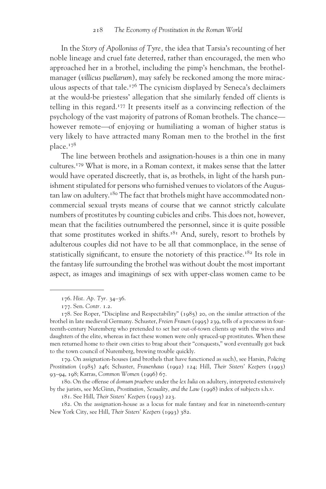In the *Story of Apollonius of Tyre,* the idea that Tarsia's recounting of her noble lineage and cruel fate deterred, rather than encouraged, the men who approached her in a brothel, including the pimp's henchman, the brothelmanager (*villicus puellarum*), may safely be reckoned among the more miraculous aspects of that tale.<sup>176</sup> The cynicism displayed by Seneca's declaimers at the would-be priestess' allegation that she similarly fended off clients is telling in this regard.<sup>177</sup> It presents itself as a convincing reflection of the psychology of the vast majority of patrons of Roman brothels. The chance however remote—of enjoying or humiliating a woman of higher status is very likely to have attracted many Roman men to the brothel in the first place.178

The line between brothels and assignation-houses is a thin one in many cultures.179 What is more, in a Roman context, it makes sense that the latter would have operated discreetly, that is, as brothels, in light of the harsh punishment stipulated for persons who furnished venues to violators of the Augustan law on adultery.<sup>180</sup> The fact that brothels might have accommodated noncommercial sexual trysts means of course that we cannot strictly calculate numbers of prostitutes by counting cubicles and cribs. This does not, however, mean that the facilities outnumbered the personnel, since it is quite possible that some prostitutes worked in shifts.181 And, surely, resort to brothels by adulterous couples did not have to be all that commonplace, in the sense of statistically significant, to ensure the notoriety of this practice.<sup>182</sup> Its role in the fantasy life surrounding the brothel was without doubt the most important aspect, as images and imaginings of sex with upper-class women came to be

179. On assignation-houses (and brothels that have functioned as such), see Harsin, *Policing Prostitution* (1985) 246; Schuster, *Frauenhaus* (1992) 124; Hill, *Their Sisters' Keepers* (1993) 93–94, 198; Karras, *Common Women* (1996) 67.

180. On the offense of *domum praebere* under the *lex Iulia* on adultery, interpreted extensively by the jurists, see McGinn, *Prostitution, Sexuality, and the Law* (1998) index of subjects s.h.v.

181. See Hill, *Their Sisters' Keepers* (1993) 223.

182. On the assignation-house as a locus for male fantasy and fear in nineteenth-century New York City, see Hill, *Their Sisters' Keepers* (1993) 382.

<sup>176.</sup> *Hist. Ap. Tyr.* 34–36.

<sup>177.</sup> Sen. *Contr.* 1.2.

<sup>178.</sup> See Roper, "Discipline and Respectability" (1985) 20, on the similar attraction of the brothel in late medieval Germany. Schuster, *Freien Frauen* (1995) 239, tells of a procuress in fourteenth-century Nuremberg who pretended to set her out-of-town clients up with the wives and daughters of the elite, whereas in fact these women were only spruced-up prostitutes. When these men returned home to their own cities to brag about their "conquests," word eventually got back to the town council of Nuremberg, brewing trouble quickly.